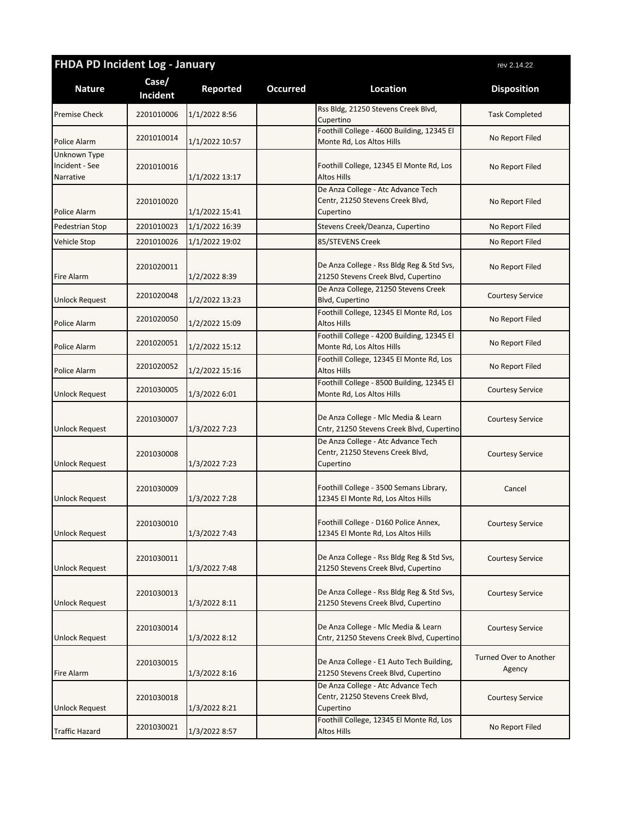| <b>FHDA PD Incident Log - January</b>       |                   |                 |                 | rev 2.14.22                                                                         |                                         |
|---------------------------------------------|-------------------|-----------------|-----------------|-------------------------------------------------------------------------------------|-----------------------------------------|
| <b>Nature</b>                               | Case/<br>Incident | <b>Reported</b> | <b>Occurred</b> | Location                                                                            | <b>Disposition</b>                      |
| <b>Premise Check</b>                        | 2201010006        | 1/1/2022 8:56   |                 | Rss Bldg, 21250 Stevens Creek Blvd,<br>Cupertino                                    | <b>Task Completed</b>                   |
| Police Alarm                                | 2201010014        | 1/1/2022 10:57  |                 | Foothill College - 4600 Building, 12345 El<br>Monte Rd, Los Altos Hills             | No Report Filed                         |
| Unknown Type<br>Incident - See<br>Narrative | 2201010016        | 1/1/2022 13:17  |                 | Foothill College, 12345 El Monte Rd, Los<br><b>Altos Hills</b>                      | No Report Filed                         |
| Police Alarm                                | 2201010020        | 1/1/2022 15:41  |                 | De Anza College - Atc Advance Tech<br>Centr, 21250 Stevens Creek Blvd,<br>Cupertino | No Report Filed                         |
| <b>Pedestrian Stop</b>                      | 2201010023        | 1/1/2022 16:39  |                 | Stevens Creek/Deanza, Cupertino                                                     | No Report Filed                         |
| Vehicle Stop                                | 2201010026        | 1/1/2022 19:02  |                 | 85/STEVENS Creek                                                                    | No Report Filed                         |
| <b>Fire Alarm</b>                           | 2201020011        | 1/2/2022 8:39   |                 | De Anza College - Rss Bldg Reg & Std Svs,<br>21250 Stevens Creek Blvd, Cupertino    | No Report Filed                         |
| <b>Unlock Request</b>                       | 2201020048        | 1/2/2022 13:23  |                 | De Anza College, 21250 Stevens Creek<br>Blvd, Cupertino                             | <b>Courtesy Service</b>                 |
| Police Alarm                                | 2201020050        | 1/2/2022 15:09  |                 | Foothill College, 12345 El Monte Rd, Los<br><b>Altos Hills</b>                      | No Report Filed                         |
| Police Alarm                                | 2201020051        | 1/2/2022 15:12  |                 | Foothill College - 4200 Building, 12345 El<br>Monte Rd, Los Altos Hills             | No Report Filed                         |
| Police Alarm                                | 2201020052        | 1/2/2022 15:16  |                 | Foothill College, 12345 El Monte Rd, Los<br><b>Altos Hills</b>                      | No Report Filed                         |
| <b>Unlock Request</b>                       | 2201030005        | 1/3/2022 6:01   |                 | Foothill College - 8500 Building, 12345 El<br>Monte Rd, Los Altos Hills             | <b>Courtesy Service</b>                 |
| <b>Unlock Request</b>                       | 2201030007        | 1/3/2022 7:23   |                 | De Anza College - Mlc Media & Learn<br>Cntr, 21250 Stevens Creek Blvd, Cupertino    | <b>Courtesy Service</b>                 |
| <b>Unlock Request</b>                       | 2201030008        | 1/3/2022 7:23   |                 | De Anza College - Atc Advance Tech<br>Centr, 21250 Stevens Creek Blvd,<br>Cupertino | <b>Courtesy Service</b>                 |
| <b>Unlock Request</b>                       | 2201030009        | 1/3/2022 7:28   |                 | Foothill College - 3500 Semans Library,<br>12345 El Monte Rd, Los Altos Hills       | Cancel                                  |
| <b>Unlock Request</b>                       | 2201030010        | 1/3/2022 7:43   |                 | Foothill College - D160 Police Annex,<br>12345 El Monte Rd, Los Altos Hills         | <b>Courtesy Service</b>                 |
| <b>Unlock Request</b>                       | 2201030011        | 1/3/2022 7:48   |                 | De Anza College - Rss Bldg Reg & Std Svs,<br>21250 Stevens Creek Blvd, Cupertino    | <b>Courtesy Service</b>                 |
| <b>Unlock Request</b>                       | 2201030013        | 1/3/2022 8:11   |                 | De Anza College - Rss Bldg Reg & Std Svs,<br>21250 Stevens Creek Blvd, Cupertino    | <b>Courtesy Service</b>                 |
| <b>Unlock Request</b>                       | 2201030014        | 1/3/2022 8:12   |                 | De Anza College - Mlc Media & Learn<br>Cntr, 21250 Stevens Creek Blvd, Cupertino    | <b>Courtesy Service</b>                 |
| <b>Fire Alarm</b>                           | 2201030015        | 1/3/2022 8:16   |                 | De Anza College - E1 Auto Tech Building,<br>21250 Stevens Creek Blvd, Cupertino     | <b>Turned Over to Another</b><br>Agency |
| <b>Unlock Request</b>                       | 2201030018        | 1/3/2022 8:21   |                 | De Anza College - Atc Advance Tech<br>Centr, 21250 Stevens Creek Blvd,<br>Cupertino | <b>Courtesy Service</b>                 |
| Traffic Hazard                              | 2201030021        | 1/3/2022 8:57   |                 | Foothill College, 12345 El Monte Rd, Los<br>Altos Hills                             | No Report Filed                         |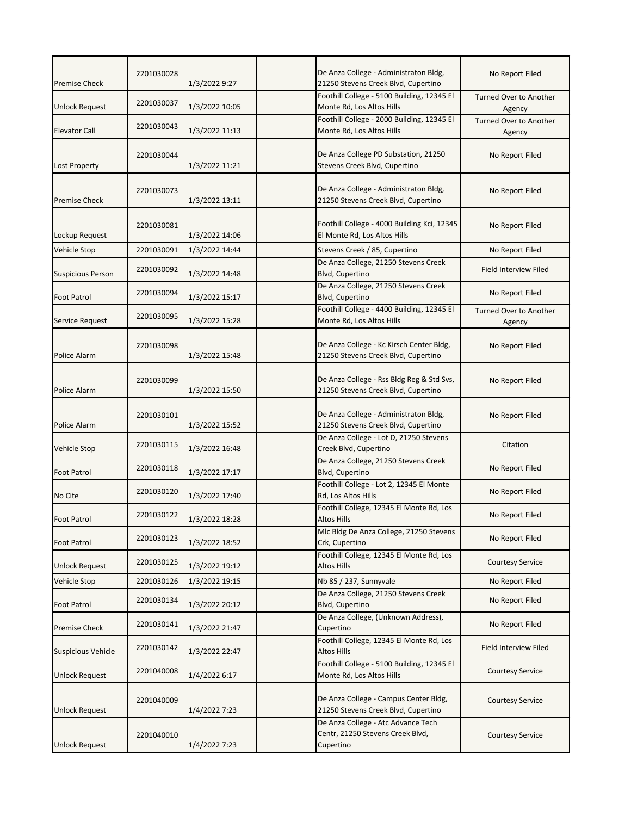| <b>Premise Check</b>      | 2201030028 | 1/3/2022 9:27  | De Anza College - Administraton Bldg,<br>21250 Stevens Creek Blvd, Cupertino        | No Report Filed                         |
|---------------------------|------------|----------------|-------------------------------------------------------------------------------------|-----------------------------------------|
| <b>Unlock Request</b>     | 2201030037 | 1/3/2022 10:05 | Foothill College - 5100 Building, 12345 El<br>Monte Rd, Los Altos Hills             | Turned Over to Another<br>Agency        |
| Elevator Call             | 2201030043 | 1/3/2022 11:13 | Foothill College - 2000 Building, 12345 El<br>Monte Rd, Los Altos Hills             | Turned Over to Another<br>Agency        |
| Lost Property             | 2201030044 | 1/3/2022 11:21 | De Anza College PD Substation, 21250<br>Stevens Creek Blvd, Cupertino               | No Report Filed                         |
| <b>Premise Check</b>      | 2201030073 | 1/3/2022 13:11 | De Anza College - Administraton Bldg,<br>21250 Stevens Creek Blvd, Cupertino        | No Report Filed                         |
| Lockup Request            | 2201030081 | 1/3/2022 14:06 | Foothill College - 4000 Building Kci, 12345<br>El Monte Rd, Los Altos Hills         | No Report Filed                         |
| Vehicle Stop              | 2201030091 | 1/3/2022 14:44 | Stevens Creek / 85, Cupertino                                                       | No Report Filed                         |
| <b>Suspicious Person</b>  | 2201030092 | 1/3/2022 14:48 | De Anza College, 21250 Stevens Creek<br>Blvd, Cupertino                             | Field Interview Filed                   |
| <b>Foot Patrol</b>        | 2201030094 | 1/3/2022 15:17 | De Anza College, 21250 Stevens Creek<br>Blvd, Cupertino                             | No Report Filed                         |
| Service Request           | 2201030095 | 1/3/2022 15:28 | Foothill College - 4400 Building, 12345 El<br>Monte Rd, Los Altos Hills             | <b>Turned Over to Another</b><br>Agency |
| Police Alarm              | 2201030098 | 1/3/2022 15:48 | De Anza College - Kc Kirsch Center Bldg,<br>21250 Stevens Creek Blvd, Cupertino     | No Report Filed                         |
| Police Alarm              | 2201030099 | 1/3/2022 15:50 | De Anza College - Rss Bldg Reg & Std Svs,<br>21250 Stevens Creek Blvd, Cupertino    | No Report Filed                         |
| Police Alarm              | 2201030101 | 1/3/2022 15:52 | De Anza College - Administraton Bldg,<br>21250 Stevens Creek Blvd, Cupertino        | No Report Filed                         |
| Vehicle Stop              | 2201030115 | 1/3/2022 16:48 | De Anza College - Lot D, 21250 Stevens<br>Creek Blvd, Cupertino                     | Citation                                |
| <b>Foot Patrol</b>        | 2201030118 | 1/3/2022 17:17 | De Anza College, 21250 Stevens Creek<br>Blvd, Cupertino                             | No Report Filed                         |
| No Cite                   | 2201030120 | 1/3/2022 17:40 | Foothill College - Lot 2, 12345 El Monte<br>Rd, Los Altos Hills                     | No Report Filed                         |
| Foot Patrol               | 2201030122 | 1/3/2022 18:28 | Foothill College, 12345 El Monte Rd, Los<br>Altos Hills                             | No Report Filed                         |
| <b>Foot Patrol</b>        | 2201030123 | 1/3/2022 18:52 | Mlc Bldg De Anza College, 21250 Stevens<br>Crk, Cupertino                           | No Report Filed                         |
| <b>Unlock Request</b>     | 2201030125 | 1/3/2022 19:12 | Foothill College, 12345 El Monte Rd, Los<br><b>Altos Hills</b>                      | <b>Courtesy Service</b>                 |
| Vehicle Stop              | 2201030126 | 1/3/2022 19:15 | Nb 85 / 237, Sunnyvale                                                              | No Report Filed                         |
| Foot Patrol               | 2201030134 | 1/3/2022 20:12 | De Anza College, 21250 Stevens Creek<br>Blvd, Cupertino                             | No Report Filed                         |
| <b>Premise Check</b>      | 2201030141 | 1/3/2022 21:47 | De Anza College, (Unknown Address),<br>Cupertino                                    | No Report Filed                         |
| <b>Suspicious Vehicle</b> | 2201030142 | 1/3/2022 22:47 | Foothill College, 12345 El Monte Rd, Los<br>Altos Hills                             | Field Interview Filed                   |
| Unlock Request            | 2201040008 | 1/4/2022 6:17  | Foothill College - 5100 Building, 12345 El<br>Monte Rd, Los Altos Hills             | <b>Courtesy Service</b>                 |
| <b>Unlock Request</b>     | 2201040009 | 1/4/2022 7:23  | De Anza College - Campus Center Bldg,<br>21250 Stevens Creek Blvd, Cupertino        | <b>Courtesy Service</b>                 |
| <b>Unlock Request</b>     | 2201040010 | 1/4/2022 7:23  | De Anza College - Atc Advance Tech<br>Centr, 21250 Stevens Creek Blvd,<br>Cupertino | <b>Courtesy Service</b>                 |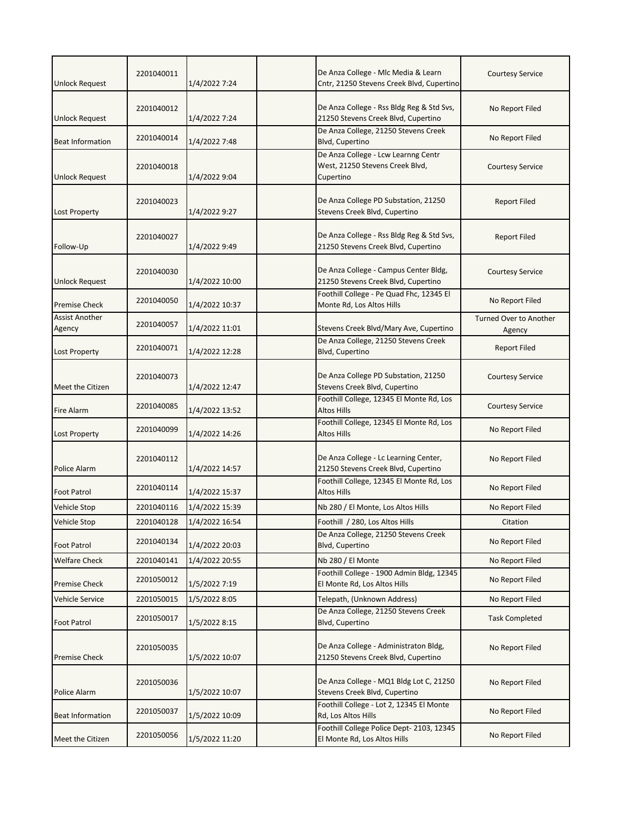| <b>Unlock Request</b>           | 2201040011 | 1/4/2022 7:24  |                                              | De Anza College - Mlc Media & Learn<br>Cntr, 21250 Stevens Creek Blvd, Cupertino | <b>Courtesy Service</b>                 |
|---------------------------------|------------|----------------|----------------------------------------------|----------------------------------------------------------------------------------|-----------------------------------------|
| <b>Unlock Request</b>           | 2201040012 | 1/4/2022 7:24  |                                              | De Anza College - Rss Bldg Reg & Std Svs,<br>21250 Stevens Creek Blvd, Cupertino | No Report Filed                         |
| <b>Beat Information</b>         | 2201040014 | 1/4/2022 7:48  | Blvd, Cupertino                              | De Anza College, 21250 Stevens Creek                                             | No Report Filed                         |
| <b>Unlock Request</b>           | 2201040018 | 1/4/2022 9:04  | West, 21250 Stevens Creek Blvd,<br>Cupertino | De Anza College - Lcw Learnng Centr                                              | <b>Courtesy Service</b>                 |
| <b>Lost Property</b>            | 2201040023 | 1/4/2022 9:27  | Stevens Creek Blvd, Cupertino                | De Anza College PD Substation, 21250                                             | <b>Report Filed</b>                     |
| Follow-Up                       | 2201040027 | 1/4/2022 9:49  |                                              | De Anza College - Rss Bldg Reg & Std Svs,<br>21250 Stevens Creek Blvd, Cupertino | <b>Report Filed</b>                     |
| <b>Unlock Request</b>           | 2201040030 | 1/4/2022 10:00 |                                              | De Anza College - Campus Center Bldg,<br>21250 Stevens Creek Blvd, Cupertino     | <b>Courtesy Service</b>                 |
| <b>Premise Check</b>            | 2201040050 | 1/4/2022 10:37 | Monte Rd, Los Altos Hills                    | Foothill College - Pe Quad Fhc, 12345 El                                         | No Report Filed                         |
| <b>Assist Another</b><br>Agency | 2201040057 | 1/4/2022 11:01 |                                              | Stevens Creek Blvd/Mary Ave, Cupertino                                           | <b>Turned Over to Another</b><br>Agency |
| Lost Property                   | 2201040071 | 1/4/2022 12:28 | Blvd, Cupertino                              | De Anza College, 21250 Stevens Creek                                             | <b>Report Filed</b>                     |
| Meet the Citizen                | 2201040073 | 1/4/2022 12:47 | Stevens Creek Blvd, Cupertino                | De Anza College PD Substation, 21250                                             | <b>Courtesy Service</b>                 |
| Fire Alarm                      | 2201040085 | 1/4/2022 13:52 | <b>Altos Hills</b>                           | Foothill College, 12345 El Monte Rd, Los                                         | <b>Courtesy Service</b>                 |
| Lost Property                   | 2201040099 | 1/4/2022 14:26 | Altos Hills                                  | Foothill College, 12345 El Monte Rd, Los                                         | No Report Filed                         |
| <b>Police Alarm</b>             | 2201040112 | 1/4/2022 14:57 |                                              | De Anza College - Lc Learning Center,<br>21250 Stevens Creek Blvd, Cupertino     | No Report Filed                         |
| <b>Foot Patrol</b>              | 2201040114 | 1/4/2022 15:37 | <b>Altos Hills</b>                           | Foothill College, 12345 El Monte Rd, Los                                         | No Report Filed                         |
| Vehicle Stop                    | 2201040116 | 1/4/2022 15:39 | Nb 280 / El Monte, Los Altos Hills           |                                                                                  | No Report Filed                         |
| Vehicle Stop                    | 2201040128 | 1/4/2022 16:54 | Foothill / 280, Los Altos Hills              |                                                                                  | Citation                                |
| <b>Foot Patrol</b>              | 2201040134 | 1/4/2022 20:03 | Blvd, Cupertino                              | De Anza College, 21250 Stevens Creek                                             | No Report Filed                         |
| <b>Welfare Check</b>            | 2201040141 | 1/4/2022 20:55 | Nb 280 / El Monte                            |                                                                                  | No Report Filed                         |
| Premise Check                   | 2201050012 | 1/5/2022 7:19  | El Monte Rd, Los Altos Hills                 | Foothill College - 1900 Admin Bldg, 12345                                        | No Report Filed                         |
| Vehicle Service                 | 2201050015 | 1/5/2022 8:05  | Telepath, (Unknown Address)                  |                                                                                  | No Report Filed                         |
| <b>Foot Patrol</b>              | 2201050017 | 1/5/2022 8:15  | Blvd, Cupertino                              | De Anza College, 21250 Stevens Creek                                             | <b>Task Completed</b>                   |
| <b>Premise Check</b>            | 2201050035 | 1/5/2022 10:07 |                                              | De Anza College - Administraton Bldg,<br>21250 Stevens Creek Blvd, Cupertino     | No Report Filed                         |
| Police Alarm                    | 2201050036 | 1/5/2022 10:07 | Stevens Creek Blvd, Cupertino                | De Anza College - MQ1 Bldg Lot C, 21250                                          | No Report Filed                         |
| <b>Beat Information</b>         | 2201050037 | 1/5/2022 10:09 | Rd, Los Altos Hills                          | Foothill College - Lot 2, 12345 El Monte                                         | No Report Filed                         |
| Meet the Citizen                | 2201050056 | 1/5/2022 11:20 | El Monte Rd, Los Altos Hills                 | Foothill College Police Dept-2103, 12345                                         | No Report Filed                         |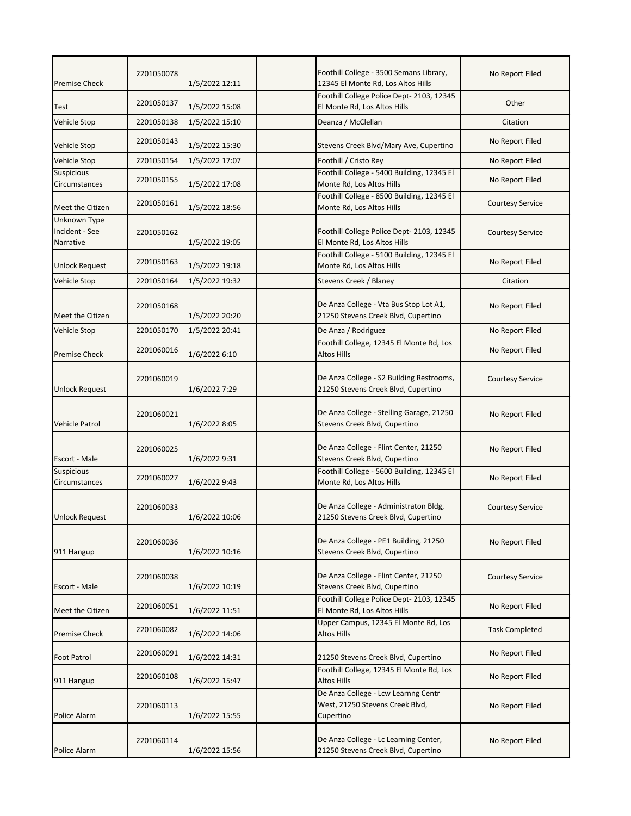| <b>Premise Check</b>                        | 2201050078 | 1/5/2022 12:11 | Foothill College - 3500 Semans Library,<br>12345 El Monte Rd, Los Altos Hills       | No Report Filed         |
|---------------------------------------------|------------|----------------|-------------------------------------------------------------------------------------|-------------------------|
| Test                                        | 2201050137 | 1/5/2022 15:08 | Foothill College Police Dept-2103, 12345<br>El Monte Rd, Los Altos Hills            | Other                   |
| <b>Vehicle Stop</b>                         | 2201050138 | 1/5/2022 15:10 | Deanza / McClellan                                                                  | Citation                |
| Vehicle Stop                                | 2201050143 | 1/5/2022 15:30 | Stevens Creek Blvd/Mary Ave, Cupertino                                              | No Report Filed         |
| <b>Vehicle Stop</b>                         | 2201050154 | 1/5/2022 17:07 | Foothill / Cristo Rey                                                               | No Report Filed         |
| Suspicious<br>Circumstances                 | 2201050155 | 1/5/2022 17:08 | Foothill College - 5400 Building, 12345 El<br>Monte Rd, Los Altos Hills             | No Report Filed         |
| Meet the Citizen                            | 2201050161 | 1/5/2022 18:56 | Foothill College - 8500 Building, 12345 El<br>Monte Rd, Los Altos Hills             | <b>Courtesy Service</b> |
| Unknown Type<br>Incident - See<br>Narrative | 2201050162 | 1/5/2022 19:05 | Foothill College Police Dept- 2103, 12345<br>El Monte Rd, Los Altos Hills           | <b>Courtesy Service</b> |
| <b>Unlock Request</b>                       | 2201050163 | 1/5/2022 19:18 | Foothill College - 5100 Building, 12345 El<br>Monte Rd, Los Altos Hills             | No Report Filed         |
| Vehicle Stop                                | 2201050164 | 1/5/2022 19:32 | Stevens Creek / Blaney                                                              | Citation                |
| Meet the Citizen                            | 2201050168 | 1/5/2022 20:20 | De Anza College - Vta Bus Stop Lot A1,<br>21250 Stevens Creek Blvd, Cupertino       | No Report Filed         |
| Vehicle Stop                                | 2201050170 | 1/5/2022 20:41 | De Anza / Rodriguez                                                                 | No Report Filed         |
| <b>Premise Check</b>                        | 2201060016 | 1/6/2022 6:10  | Foothill College, 12345 El Monte Rd, Los<br><b>Altos Hills</b>                      | No Report Filed         |
| <b>Unlock Request</b>                       | 2201060019 | 1/6/2022 7:29  | De Anza College - S2 Building Restrooms,<br>21250 Stevens Creek Blvd, Cupertino     | <b>Courtesy Service</b> |
| <b>Vehicle Patrol</b>                       | 2201060021 | 1/6/2022 8:05  | De Anza College - Stelling Garage, 21250<br>Stevens Creek Blvd, Cupertino           | No Report Filed         |
| Escort - Male                               | 2201060025 | 1/6/2022 9:31  | De Anza College - Flint Center, 21250<br>Stevens Creek Blvd, Cupertino              | No Report Filed         |
| Suspicious<br>Circumstances                 | 2201060027 | 1/6/2022 9:43  | Foothill College - 5600 Building, 12345 El<br>Monte Rd, Los Altos Hills             | No Report Filed         |
| <b>Unlock Request</b>                       | 2201060033 | 1/6/2022 10:06 | De Anza College - Administraton Bldg,<br>21250 Stevens Creek Blvd, Cupertino        | <b>Courtesy Service</b> |
| 911 Hangup                                  | 2201060036 | 1/6/2022 10:16 | De Anza College - PE1 Building, 21250<br>Stevens Creek Blvd, Cupertino              | No Report Filed         |
| Escort - Male                               | 2201060038 | 1/6/2022 10:19 | De Anza College - Flint Center, 21250<br>Stevens Creek Blvd, Cupertino              | <b>Courtesy Service</b> |
| Meet the Citizen                            | 2201060051 | 1/6/2022 11:51 | Foothill College Police Dept-2103, 12345<br>El Monte Rd, Los Altos Hills            | No Report Filed         |
| <b>Premise Check</b>                        | 2201060082 | 1/6/2022 14:06 | Upper Campus, 12345 El Monte Rd, Los<br><b>Altos Hills</b>                          | <b>Task Completed</b>   |
| Foot Patrol                                 | 2201060091 | 1/6/2022 14:31 | 21250 Stevens Creek Blvd, Cupertino                                                 | No Report Filed         |
| 911 Hangup                                  | 2201060108 | 1/6/2022 15:47 | Foothill College, 12345 El Monte Rd, Los<br>Altos Hills                             | No Report Filed         |
| Police Alarm                                | 2201060113 | 1/6/2022 15:55 | De Anza College - Lcw Learnng Centr<br>West, 21250 Stevens Creek Blvd,<br>Cupertino | No Report Filed         |
| Police Alarm                                | 2201060114 | 1/6/2022 15:56 | De Anza College - Lc Learning Center,<br>21250 Stevens Creek Blvd, Cupertino        | No Report Filed         |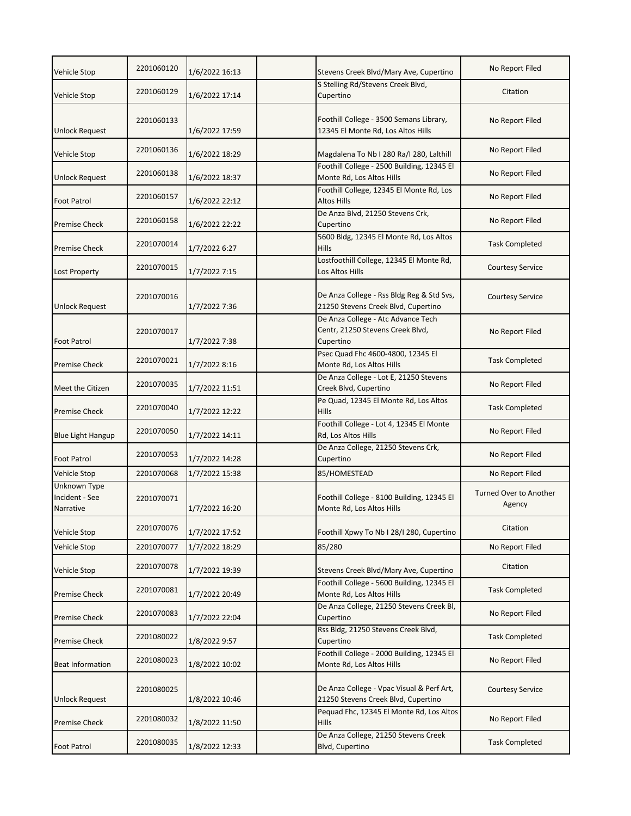| <b>Vehicle Stop</b>                         | 2201060120 | 1/6/2022 16:13 | Stevens Creek Blvd/Mary Ave, Cupertino                                              | No Report Filed                         |
|---------------------------------------------|------------|----------------|-------------------------------------------------------------------------------------|-----------------------------------------|
| Vehicle Stop                                | 2201060129 | 1/6/2022 17:14 | S Stelling Rd/Stevens Creek Blvd,<br>Cupertino                                      | Citation                                |
| Unlock Request                              | 2201060133 | 1/6/2022 17:59 | Foothill College - 3500 Semans Library,<br>12345 El Monte Rd, Los Altos Hills       | No Report Filed                         |
| <b>Vehicle Stop</b>                         | 2201060136 | 1/6/2022 18:29 | Magdalena To Nb I 280 Ra/I 280, Lalthill                                            | No Report Filed                         |
| Unlock Request                              | 2201060138 | 1/6/2022 18:37 | Foothill College - 2500 Building, 12345 El<br>Monte Rd, Los Altos Hills             | No Report Filed                         |
| <b>Foot Patrol</b>                          | 2201060157 | 1/6/2022 22:12 | Foothill College, 12345 El Monte Rd, Los<br><b>Altos Hills</b>                      | No Report Filed                         |
| <b>Premise Check</b>                        | 2201060158 | 1/6/2022 22:22 | De Anza Blvd, 21250 Stevens Crk,<br>Cupertino                                       | No Report Filed                         |
| <b>Premise Check</b>                        | 2201070014 | 1/7/2022 6:27  | 5600 Bldg, 12345 El Monte Rd, Los Altos<br>Hills                                    | <b>Task Completed</b>                   |
| <b>Lost Property</b>                        | 2201070015 | 1/7/2022 7:15  | Lostfoothill College, 12345 El Monte Rd,<br>Los Altos Hills                         | <b>Courtesy Service</b>                 |
| <b>Unlock Request</b>                       | 2201070016 | 1/7/2022 7:36  | De Anza College - Rss Bldg Reg & Std Svs,<br>21250 Stevens Creek Blvd, Cupertino    | <b>Courtesy Service</b>                 |
| <b>Foot Patrol</b>                          | 2201070017 | 1/7/2022 7:38  | De Anza College - Atc Advance Tech<br>Centr, 21250 Stevens Creek Blvd,<br>Cupertino | No Report Filed                         |
| <b>Premise Check</b>                        | 2201070021 | 1/7/2022 8:16  | Psec Quad Fhc 4600-4800, 12345 El<br>Monte Rd, Los Altos Hills                      | <b>Task Completed</b>                   |
| Meet the Citizen                            | 2201070035 | 1/7/2022 11:51 | De Anza College - Lot E, 21250 Stevens<br>Creek Blvd, Cupertino                     | No Report Filed                         |
| <b>Premise Check</b>                        | 2201070040 | 1/7/2022 12:22 | Pe Quad, 12345 El Monte Rd, Los Altos<br><b>Hills</b>                               | <b>Task Completed</b>                   |
| <b>Blue Light Hangup</b>                    | 2201070050 | 1/7/2022 14:11 | Foothill College - Lot 4, 12345 El Monte<br>Rd, Los Altos Hills                     | No Report Filed                         |
| <b>Foot Patrol</b>                          | 2201070053 | 1/7/2022 14:28 | De Anza College, 21250 Stevens Crk,<br>Cupertino                                    | No Report Filed                         |
| <b>Vehicle Stop</b>                         | 2201070068 | 1/7/2022 15:38 | 85/HOMESTEAD                                                                        | No Report Filed                         |
| Unknown Type<br>Incident - See<br>Narrative | 2201070071 | 1/7/2022 16:20 | Foothill College - 8100 Building, 12345 El<br>Monte Rd, Los Altos Hills             | <b>Turned Over to Another</b><br>Agency |
| Vehicle Stop                                | 2201070076 | 1/7/2022 17:52 | Foothill Xpwy To Nb I 28/I 280, Cupertino                                           | Citation                                |
| Vehicle Stop                                | 2201070077 | 1/7/2022 18:29 | 85/280                                                                              | No Report Filed                         |
| <b>Vehicle Stop</b>                         | 2201070078 | 1/7/2022 19:39 | Stevens Creek Blvd/Mary Ave, Cupertino                                              | Citation                                |
| <b>Premise Check</b>                        | 2201070081 | 1/7/2022 20:49 | Foothill College - 5600 Building, 12345 El<br>Monte Rd, Los Altos Hills             | <b>Task Completed</b>                   |
| <b>Premise Check</b>                        | 2201070083 | 1/7/2022 22:04 | De Anza College, 21250 Stevens Creek Bl,<br>Cupertino                               | No Report Filed                         |
| <b>Premise Check</b>                        | 2201080022 | 1/8/2022 9:57  | Rss Bldg, 21250 Stevens Creek Blvd,<br>Cupertino                                    | <b>Task Completed</b>                   |
| <b>Beat Information</b>                     | 2201080023 | 1/8/2022 10:02 | Foothill College - 2000 Building, 12345 El<br>Monte Rd, Los Altos Hills             | No Report Filed                         |
| Unlock Request                              | 2201080025 | 1/8/2022 10:46 | De Anza College - Vpac Visual & Perf Art,<br>21250 Stevens Creek Blvd, Cupertino    | <b>Courtesy Service</b>                 |
| Premise Check                               | 2201080032 | 1/8/2022 11:50 | Pequad Fhc, 12345 El Monte Rd, Los Altos<br>Hills                                   | No Report Filed                         |
| <b>Foot Patrol</b>                          | 2201080035 | 1/8/2022 12:33 | De Anza College, 21250 Stevens Creek<br>Blvd, Cupertino                             | <b>Task Completed</b>                   |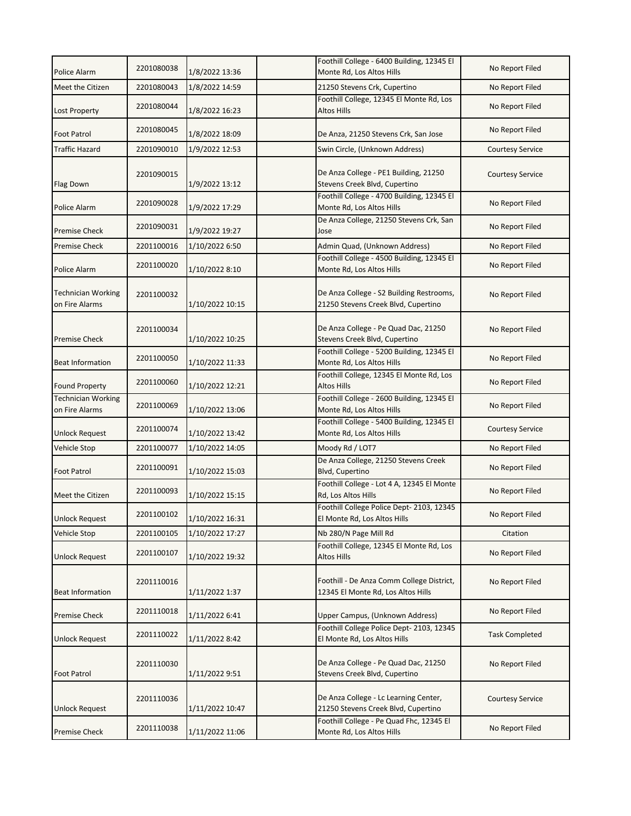| Police Alarm                                | 2201080038 | 1/8/2022 13:36  | Foothill College - 6400 Building, 12345 El<br>Monte Rd, Los Altos Hills         | No Report Filed         |
|---------------------------------------------|------------|-----------------|---------------------------------------------------------------------------------|-------------------------|
| Meet the Citizen                            | 2201080043 | 1/8/2022 14:59  | 21250 Stevens Crk, Cupertino                                                    | No Report Filed         |
| Lost Property                               | 2201080044 | 1/8/2022 16:23  | Foothill College, 12345 El Monte Rd, Los<br><b>Altos Hills</b>                  | No Report Filed         |
| <b>Foot Patrol</b>                          | 2201080045 | 1/8/2022 18:09  | De Anza, 21250 Stevens Crk, San Jose                                            | No Report Filed         |
| <b>Traffic Hazard</b>                       | 2201090010 | 1/9/2022 12:53  | Swin Circle, (Unknown Address)                                                  | <b>Courtesy Service</b> |
| <b>Flag Down</b>                            | 2201090015 | 1/9/2022 13:12  | De Anza College - PE1 Building, 21250<br>Stevens Creek Blvd, Cupertino          | <b>Courtesy Service</b> |
| Police Alarm                                | 2201090028 | 1/9/2022 17:29  | Foothill College - 4700 Building, 12345 El<br>Monte Rd, Los Altos Hills         | No Report Filed         |
| <b>Premise Check</b>                        | 2201090031 | 1/9/2022 19:27  | De Anza College, 21250 Stevens Crk, San<br>Jose                                 | No Report Filed         |
| <b>Premise Check</b>                        | 2201100016 | 1/10/2022 6:50  | Admin Quad, (Unknown Address)                                                   | No Report Filed         |
| Police Alarm                                | 2201100020 | 1/10/2022 8:10  | Foothill College - 4500 Building, 12345 El<br>Monte Rd, Los Altos Hills         | No Report Filed         |
| Technician Working<br>on Fire Alarms        | 2201100032 | 1/10/2022 10:15 | De Anza College - S2 Building Restrooms,<br>21250 Stevens Creek Blvd, Cupertino | No Report Filed         |
| <b>Premise Check</b>                        | 2201100034 | 1/10/2022 10:25 | De Anza College - Pe Quad Dac, 21250<br>Stevens Creek Blvd, Cupertino           | No Report Filed         |
| <b>Beat Information</b>                     | 2201100050 | 1/10/2022 11:33 | Foothill College - 5200 Building, 12345 El<br>Monte Rd, Los Altos Hills         | No Report Filed         |
| <b>Found Property</b>                       | 2201100060 | 1/10/2022 12:21 | Foothill College, 12345 El Monte Rd, Los<br><b>Altos Hills</b>                  | No Report Filed         |
| <b>Technician Working</b><br>on Fire Alarms | 2201100069 | 1/10/2022 13:06 | Foothill College - 2600 Building, 12345 El<br>Monte Rd, Los Altos Hills         | No Report Filed         |
| Unlock Request                              | 2201100074 | 1/10/2022 13:42 | Foothill College - 5400 Building, 12345 El<br>Monte Rd, Los Altos Hills         | <b>Courtesy Service</b> |
| Vehicle Stop                                | 2201100077 | 1/10/2022 14:05 | Moody Rd / LOT7                                                                 | No Report Filed         |
| <b>Foot Patrol</b>                          | 2201100091 | 1/10/2022 15:03 | De Anza College, 21250 Stevens Creek<br>Blvd, Cupertino                         | No Report Filed         |
| Meet the Citizen                            | 2201100093 | 1/10/2022 15:15 | Foothill College - Lot 4 A, 12345 El Monte<br>Rd, Los Altos Hills               | No Report Filed         |
| <b>Unlock Request</b>                       | 2201100102 | 1/10/2022 16:31 | Foothill College Police Dept- 2103, 12345<br>El Monte Rd, Los Altos Hills       | No Report Filed         |
| Vehicle Stop                                | 2201100105 | 1/10/2022 17:27 | Nb 280/N Page Mill Rd                                                           | Citation                |
| Unlock Request                              | 2201100107 | 1/10/2022 19:32 | Foothill College, 12345 El Monte Rd, Los<br>Altos Hills                         | No Report Filed         |
| <b>Beat Information</b>                     | 2201110016 | 1/11/2022 1:37  | Foothill - De Anza Comm College District,<br>12345 El Monte Rd, Los Altos Hills | No Report Filed         |
| <b>Premise Check</b>                        | 2201110018 | 1/11/2022 6:41  | Upper Campus, (Unknown Address)                                                 | No Report Filed         |
| <b>Unlock Request</b>                       | 2201110022 | 1/11/2022 8:42  | Foothill College Police Dept-2103, 12345<br>El Monte Rd, Los Altos Hills        | <b>Task Completed</b>   |
| <b>Foot Patrol</b>                          | 2201110030 | 1/11/2022 9:51  | De Anza College - Pe Quad Dac, 21250<br>Stevens Creek Blvd, Cupertino           | No Report Filed         |
| <b>Unlock Request</b>                       | 2201110036 | 1/11/2022 10:47 | De Anza College - Lc Learning Center,<br>21250 Stevens Creek Blvd, Cupertino    | <b>Courtesy Service</b> |
| <b>Premise Check</b>                        | 2201110038 | 1/11/2022 11:06 | Foothill College - Pe Quad Fhc, 12345 El<br>Monte Rd, Los Altos Hills           | No Report Filed         |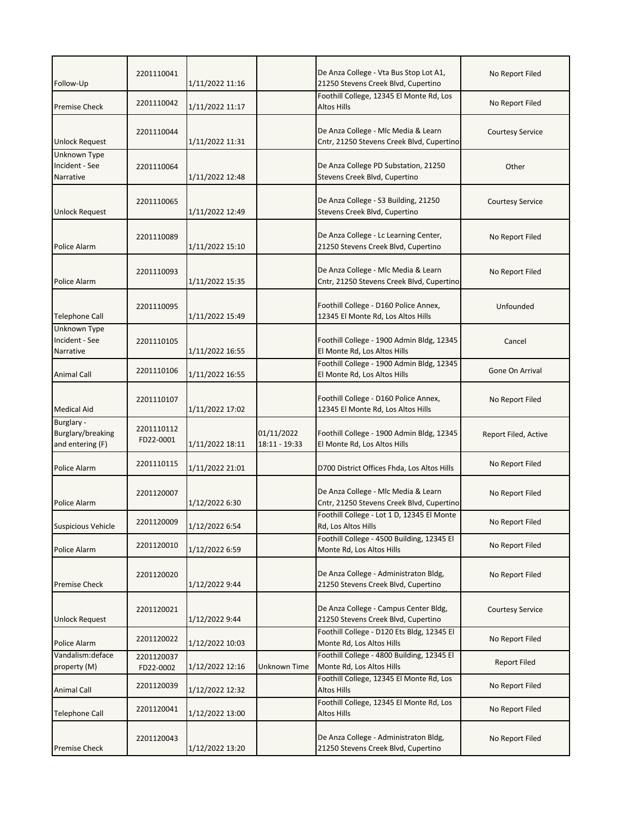| Follow-Up                                           | 2201110041              | 1/11/2022 11:16 |                             | De Anza College - Vta Bus Stop Lot A1,<br>21250 Stevens Creek Blvd, Cupertino    | No Report Filed         |
|-----------------------------------------------------|-------------------------|-----------------|-----------------------------|----------------------------------------------------------------------------------|-------------------------|
| <b>Premise Check</b>                                | 2201110042              | 1/11/2022 11:17 |                             | Foothill College, 12345 El Monte Rd, Los<br>Altos Hills                          | No Report Filed         |
| <b>Unlock Request</b>                               | 2201110044              | 1/11/2022 11:31 |                             | De Anza College - Mlc Media & Learn<br>Cntr, 21250 Stevens Creek Blvd, Cupertino | <b>Courtesy Service</b> |
| Unknown Type<br>Incident - See<br>Narrative         | 2201110064              | 1/11/2022 12:48 |                             | De Anza College PD Substation, 21250<br>Stevens Creek Blvd, Cupertino            | Other                   |
| <b>Unlock Request</b>                               | 2201110065              | 1/11/2022 12:49 |                             | De Anza College - S3 Building, 21250<br>Stevens Creek Blvd, Cupertino            | <b>Courtesy Service</b> |
| Police Alarm                                        | 2201110089              | 1/11/2022 15:10 |                             | De Anza College - Lc Learning Center,<br>21250 Stevens Creek Blvd, Cupertino     | No Report Filed         |
| Police Alarm                                        | 2201110093              | 1/11/2022 15:35 |                             | De Anza College - Mlc Media & Learn<br>Cntr, 21250 Stevens Creek Blvd, Cupertino | No Report Filed         |
| <b>Telephone Call</b>                               | 2201110095              | 1/11/2022 15:49 |                             | Foothill College - D160 Police Annex,<br>12345 El Monte Rd, Los Altos Hills      | Unfounded               |
| Unknown Type<br>Incident - See<br>Narrative         | 2201110105              | 1/11/2022 16:55 |                             | Foothill College - 1900 Admin Bldg, 12345<br>El Monte Rd, Los Altos Hills        | Cancel                  |
| <b>Animal Call</b>                                  | 2201110106              | 1/11/2022 16:55 |                             | Foothill College - 1900 Admin Bldg, 12345<br>El Monte Rd, Los Altos Hills        | Gone On Arrival         |
| <b>Medical Aid</b>                                  | 2201110107              | 1/11/2022 17:02 |                             | Foothill College - D160 Police Annex,<br>12345 El Monte Rd, Los Altos Hills      | No Report Filed         |
| Burglary -<br>Burglary/breaking<br>and entering (F) | 2201110112<br>FD22-0001 | 1/11/2022 18:11 | 01/11/2022<br>18:11 - 19:33 | Foothill College - 1900 Admin Bldg, 12345<br>El Monte Rd, Los Altos Hills        | Report Filed, Active    |
| Police Alarm                                        | 2201110115              | 1/11/2022 21:01 |                             | D700 District Offices Fhda, Los Altos Hills                                      | No Report Filed         |
| Police Alarm                                        | 2201120007              | 1/12/2022 6:30  |                             | De Anza College - Mlc Media & Learn<br>Cntr, 21250 Stevens Creek Blvd, Cupertino | No Report Filed         |
| <b>Suspicious Vehicle</b>                           | 2201120009              | 1/12/2022 6:54  |                             | Foothill College - Lot 1 D, 12345 El Monte<br>Rd, Los Altos Hills                | No Report Filed         |
| Police Alarm                                        | 2201120010              | 1/12/2022 6:59  |                             | Foothill College - 4500 Building, 12345 El<br>Monte Rd, Los Altos Hills          | No Report Filed         |
| <b>Premise Check</b>                                | 2201120020              | 1/12/2022 9:44  |                             | De Anza College - Administraton Bldg,<br>21250 Stevens Creek Blvd, Cupertino     | No Report Filed         |
| <b>Unlock Request</b>                               | 2201120021              | 1/12/2022 9:44  |                             | De Anza College - Campus Center Bldg,<br>21250 Stevens Creek Blvd, Cupertino     | <b>Courtesy Service</b> |
| Police Alarm                                        | 2201120022              | 1/12/2022 10:03 |                             | Foothill College - D120 Ets Bldg, 12345 El<br>Monte Rd, Los Altos Hills          | No Report Filed         |
| Vandalism: deface<br>property (M)                   | 2201120037<br>FD22-0002 | 1/12/2022 12:16 | Unknown Time                | Foothill College - 4800 Building, 12345 El<br>Monte Rd, Los Altos Hills          | <b>Report Filed</b>     |
| <b>Animal Call</b>                                  | 2201120039              | 1/12/2022 12:32 |                             | Foothill College, 12345 El Monte Rd, Los<br><b>Altos Hills</b>                   | No Report Filed         |
| Telephone Call                                      | 2201120041              | 1/12/2022 13:00 |                             | Foothill College, 12345 El Monte Rd, Los<br>Altos Hills                          | No Report Filed         |
| <b>Premise Check</b>                                | 2201120043              | 1/12/2022 13:20 |                             | De Anza College - Administraton Bldg,<br>21250 Stevens Creek Blvd, Cupertino     | No Report Filed         |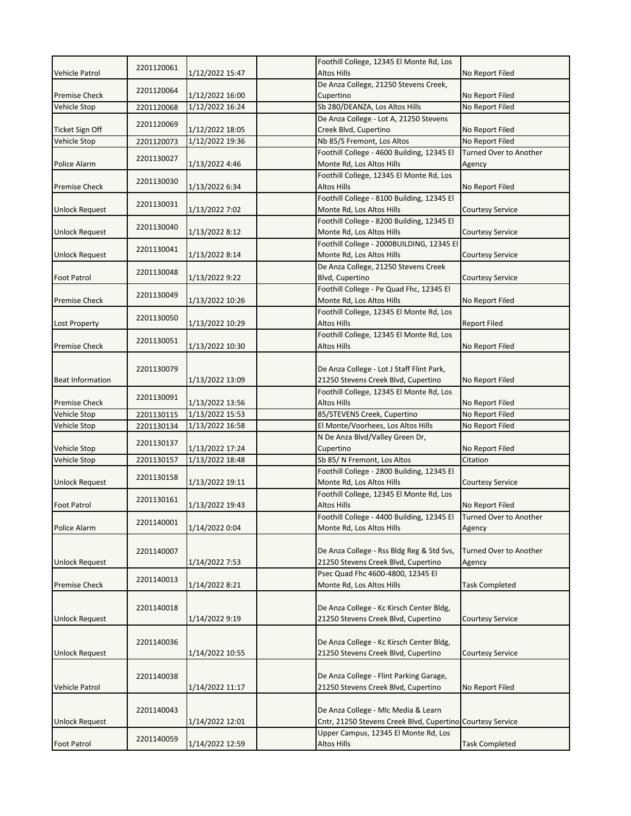|                         | 2201120061 |                 | Foothill College, 12345 El Monte Rd, Los                    |                               |
|-------------------------|------------|-----------------|-------------------------------------------------------------|-------------------------------|
| <b>Vehicle Patrol</b>   |            | 1/12/2022 15:47 | <b>Altos Hills</b><br>De Anza College, 21250 Stevens Creek, | No Report Filed               |
| <b>Premise Check</b>    | 2201120064 | 1/12/2022 16:00 | Cupertino                                                   | No Report Filed               |
| Vehicle Stop            | 2201120068 | 1/12/2022 16:24 | Sb 280/DEANZA, Los Altos Hills                              | No Report Filed               |
|                         |            |                 | De Anza College - Lot A, 21250 Stevens                      |                               |
| Ticket Sign Off         | 2201120069 | 1/12/2022 18:05 | Creek Blvd, Cupertino                                       | No Report Filed               |
| Vehicle Stop            | 2201120073 | 1/12/2022 19:36 | Nb 85/S Fremont, Los Altos                                  | No Report Filed               |
|                         |            |                 | Foothill College - 4600 Building, 12345 El                  | <b>Turned Over to Another</b> |
| Police Alarm            | 2201130027 | 1/13/2022 4:46  | Monte Rd, Los Altos Hills                                   | Agency                        |
|                         |            |                 | Foothill College, 12345 El Monte Rd, Los                    |                               |
| <b>Premise Check</b>    | 2201130030 | 1/13/2022 6:34  | Altos Hills                                                 | No Report Filed               |
|                         |            |                 | Foothill College - 8100 Building, 12345 El                  |                               |
| <b>Unlock Request</b>   | 2201130031 | 1/13/2022 7:02  | Monte Rd, Los Altos Hills                                   | <b>Courtesy Service</b>       |
|                         |            |                 | Foothill College - 8200 Building, 12345 El                  |                               |
| <b>Unlock Request</b>   | 2201130040 | 1/13/2022 8:12  | Monte Rd, Los Altos Hills                                   | <b>Courtesy Service</b>       |
|                         |            |                 | Foothill College - 2000BUILDING, 12345 El                   |                               |
| Unlock Request          | 2201130041 | 1/13/2022 8:14  | Monte Rd, Los Altos Hills                                   | <b>Courtesy Service</b>       |
|                         |            |                 | De Anza College, 21250 Stevens Creek                        |                               |
| <b>Foot Patrol</b>      | 2201130048 | 1/13/2022 9:22  | Blvd, Cupertino                                             | <b>Courtesy Service</b>       |
|                         |            |                 | Foothill College - Pe Quad Fhc, 12345 El                    |                               |
| <b>Premise Check</b>    | 2201130049 | 1/13/2022 10:26 | Monte Rd, Los Altos Hills                                   | No Report Filed               |
|                         |            |                 | Foothill College, 12345 El Monte Rd, Los                    |                               |
| Lost Property           | 2201130050 | 1/13/2022 10:29 | <b>Altos Hills</b>                                          | <b>Report Filed</b>           |
|                         |            |                 | Foothill College, 12345 El Monte Rd, Los                    |                               |
| <b>Premise Check</b>    | 2201130051 | 1/13/2022 10:30 | Altos Hills                                                 | No Report Filed               |
|                         |            |                 |                                                             |                               |
|                         | 2201130079 |                 | De Anza College - Lot J Staff Flint Park,                   |                               |
| <b>Beat Information</b> |            | 1/13/2022 13:09 | 21250 Stevens Creek Blvd, Cupertino                         | No Report Filed               |
|                         |            |                 | Foothill College, 12345 El Monte Rd, Los                    |                               |
| <b>Premise Check</b>    | 2201130091 | 1/13/2022 13:56 | Altos Hills                                                 | No Report Filed               |
| Vehicle Stop            | 2201130115 | 1/13/2022 15:53 | 85/STEVENS Creek, Cupertino                                 | No Report Filed               |
| Vehicle Stop            | 2201130134 | 1/13/2022 16:58 | El Monte/Voorhees, Los Altos Hills                          | No Report Filed               |
|                         |            |                 | N De Anza Blvd/Valley Green Dr,                             |                               |
| Vehicle Stop            | 2201130137 | 1/13/2022 17:24 | Cupertino                                                   | No Report Filed               |
| Vehicle Stop            | 2201130157 | 1/13/2022 18:48 | Sb 85/N Fremont, Los Altos                                  | Citation                      |
|                         |            |                 | Foothill College - 2800 Building, 12345 El                  |                               |
| <b>Unlock Request</b>   | 2201130158 | 1/13/2022 19:11 | Monte Rd, Los Altos Hills                                   | <b>Courtesy Service</b>       |
|                         |            |                 | Foothill College, 12345 El Monte Rd, Los                    |                               |
| Foot Patrol             | 2201130161 | 1/13/2022 19:43 | <b>Altos Hills</b>                                          | No Report Filed               |
|                         |            |                 | Foothill College - 4400 Building, 12345 El                  | Turned Over to Another        |
| Police Alarm            | 2201140001 | 1/14/2022 0:04  | Monte Rd, Los Altos Hills                                   | Agency                        |
|                         |            |                 |                                                             |                               |
|                         | 2201140007 |                 | De Anza College - Rss Bldg Reg & Std Svs,                   | <b>Turned Over to Another</b> |
| <b>Unlock Request</b>   |            | 1/14/2022 7:53  | 21250 Stevens Creek Blvd, Cupertino                         | Agency                        |
|                         | 2201140013 |                 | Psec Quad Fhc 4600-4800, 12345 El                           |                               |
| <b>Premise Check</b>    |            | 1/14/2022 8:21  | Monte Rd, Los Altos Hills                                   | <b>Task Completed</b>         |
|                         |            |                 |                                                             |                               |
|                         | 2201140018 |                 | De Anza College - Kc Kirsch Center Bldg,                    |                               |
| <b>Unlock Request</b>   |            | 1/14/2022 9:19  | 21250 Stevens Creek Blvd, Cupertino                         | <b>Courtesy Service</b>       |
|                         |            |                 |                                                             |                               |
|                         | 2201140036 |                 | De Anza College - Kc Kirsch Center Bldg,                    |                               |
| <b>Unlock Request</b>   |            | 1/14/2022 10:55 | 21250 Stevens Creek Blvd, Cupertino                         | <b>Courtesy Service</b>       |
|                         |            |                 |                                                             |                               |
|                         | 2201140038 |                 | De Anza College - Flint Parking Garage,                     |                               |
| Vehicle Patrol          |            | 1/14/2022 11:17 | 21250 Stevens Creek Blvd, Cupertino                         | No Report Filed               |
|                         |            |                 |                                                             |                               |
|                         | 2201140043 |                 | De Anza College - Mlc Media & Learn                         |                               |
| <b>Unlock Request</b>   |            | 1/14/2022 12:01 | Cntr, 21250 Stevens Creek Blvd, Cupertino Courtesy Service  |                               |
|                         |            |                 |                                                             |                               |
| Foot Patrol             | 2201140059 | 1/14/2022 12:59 | Upper Campus, 12345 El Monte Rd, Los<br><b>Altos Hills</b>  | <b>Task Completed</b>         |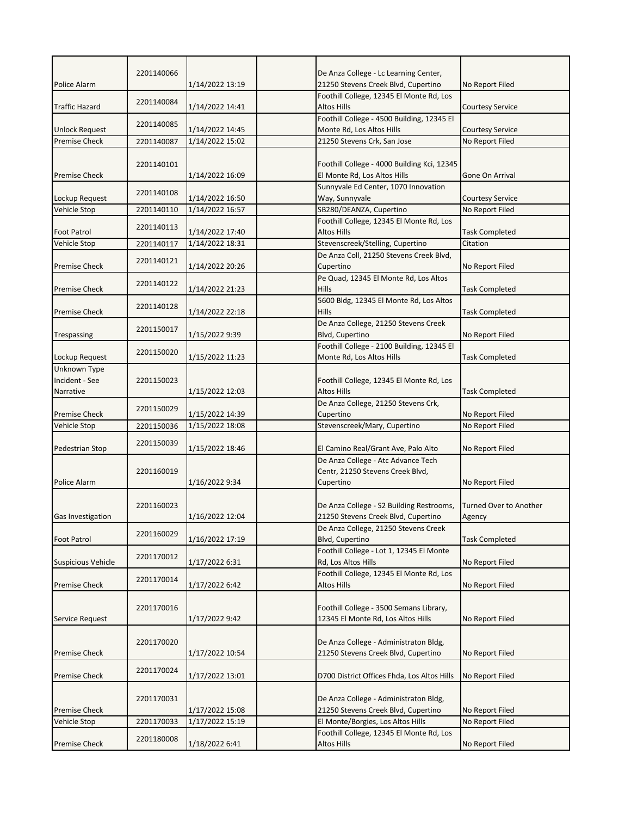|                           | 2201140066 |                 | De Anza College - Lc Learning Center,       |                         |
|---------------------------|------------|-----------------|---------------------------------------------|-------------------------|
| <b>Police Alarm</b>       |            | 1/14/2022 13:19 | 21250 Stevens Creek Blvd, Cupertino         | No Report Filed         |
|                           |            |                 | Foothill College, 12345 El Monte Rd, Los    |                         |
| <b>Traffic Hazard</b>     | 2201140084 | 1/14/2022 14:41 | <b>Altos Hills</b>                          | <b>Courtesy Service</b> |
|                           |            |                 | Foothill College - 4500 Building, 12345 El  |                         |
| <b>Unlock Request</b>     | 2201140085 | 1/14/2022 14:45 | Monte Rd, Los Altos Hills                   | <b>Courtesy Service</b> |
| <b>Premise Check</b>      | 2201140087 | 1/14/2022 15:02 | 21250 Stevens Crk, San Jose                 | No Report Filed         |
|                           |            |                 |                                             |                         |
|                           | 2201140101 |                 | Foothill College - 4000 Building Kci, 12345 |                         |
| <b>Premise Check</b>      |            | 1/14/2022 16:09 | El Monte Rd, Los Altos Hills                | Gone On Arrival         |
|                           |            |                 | Sunnyvale Ed Center, 1070 Innovation        |                         |
| Lockup Request            | 2201140108 | 1/14/2022 16:50 | Way, Sunnyvale                              | <b>Courtesy Service</b> |
| Vehicle Stop              | 2201140110 | 1/14/2022 16:57 | SB280/DEANZA, Cupertino                     | No Report Filed         |
|                           | 2201140113 |                 | Foothill College, 12345 El Monte Rd, Los    |                         |
| <b>Foot Patrol</b>        |            | 1/14/2022 17:40 | <b>Altos Hills</b>                          | <b>Task Completed</b>   |
| Vehicle Stop              | 2201140117 | 1/14/2022 18:31 | Stevenscreek/Stelling, Cupertino            | Citation                |
|                           |            |                 | De Anza Coll, 21250 Stevens Creek Blvd,     |                         |
| <b>Premise Check</b>      | 2201140121 | 1/14/2022 20:26 | Cupertino                                   | No Report Filed         |
|                           |            |                 | Pe Quad, 12345 El Monte Rd, Los Altos       |                         |
| <b>Premise Check</b>      | 2201140122 | 1/14/2022 21:23 | Hills                                       | <b>Task Completed</b>   |
|                           | 2201140128 |                 | 5600 Bldg, 12345 El Monte Rd, Los Altos     |                         |
| <b>Premise Check</b>      |            | 1/14/2022 22:18 | <b>Hills</b>                                | <b>Task Completed</b>   |
|                           | 2201150017 |                 | De Anza College, 21250 Stevens Creek        |                         |
| Trespassing               |            | 1/15/2022 9:39  | Blvd, Cupertino                             | No Report Filed         |
|                           | 2201150020 |                 | Foothill College - 2100 Building, 12345 El  |                         |
| Lockup Request            |            | 1/15/2022 11:23 | Monte Rd, Los Altos Hills                   | <b>Task Completed</b>   |
| Unknown Type              |            |                 |                                             |                         |
| Incident - See            | 2201150023 |                 | Foothill College, 12345 El Monte Rd, Los    |                         |
| Narrative                 |            | 1/15/2022 12:03 | <b>Altos Hills</b>                          | <b>Task Completed</b>   |
|                           | 2201150029 |                 | De Anza College, 21250 Stevens Crk,         |                         |
| <b>Premise Check</b>      |            | 1/15/2022 14:39 | Cupertino                                   | No Report Filed         |
| Vehicle Stop              | 2201150036 | 1/15/2022 18:08 | Stevenscreek/Mary, Cupertino                | No Report Filed         |
|                           | 2201150039 |                 |                                             |                         |
| Pedestrian Stop           |            | 1/15/2022 18:46 | El Camino Real/Grant Ave, Palo Alto         | No Report Filed         |
|                           |            |                 | De Anza College - Atc Advance Tech          |                         |
|                           | 2201160019 |                 | Centr, 21250 Stevens Creek Blvd,            |                         |
| Police Alarm              |            | 1/16/2022 9:34  | Cupertino                                   | No Report Filed         |
|                           |            |                 |                                             |                         |
|                           | 2201160023 |                 | De Anza College - S2 Building Restrooms,    | Turned Over to Another  |
| Gas Investigation         |            | 1/16/2022 12:04 | 21250 Stevens Creek Blvd, Cupertino         | Agency                  |
|                           | 2201160029 |                 | De Anza College, 21250 Stevens Creek        |                         |
| <b>Foot Patrol</b>        |            | 1/16/2022 17:19 | Blvd, Cupertino                             | <b>Task Completed</b>   |
|                           | 2201170012 |                 | Foothill College - Lot 1, 12345 El Monte    |                         |
| <b>Suspicious Vehicle</b> |            | 1/17/2022 6:31  | Rd, Los Altos Hills                         | No Report Filed         |
|                           | 2201170014 |                 | Foothill College, 12345 El Monte Rd, Los    |                         |
| <b>Premise Check</b>      |            | 1/17/2022 6:42  | <b>Altos Hills</b>                          | No Report Filed         |
|                           |            |                 |                                             |                         |
|                           | 2201170016 |                 | Foothill College - 3500 Semans Library,     |                         |
| Service Request           |            | 1/17/2022 9:42  | 12345 El Monte Rd, Los Altos Hills          | No Report Filed         |
|                           |            |                 |                                             |                         |
|                           | 2201170020 |                 | De Anza College - Administraton Bldg,       |                         |
| <b>Premise Check</b>      |            | 1/17/2022 10:54 | 21250 Stevens Creek Blvd, Cupertino         | No Report Filed         |
|                           | 2201170024 |                 |                                             |                         |
| Premise Check             |            | 1/17/2022 13:01 | D700 District Offices Fhda, Los Altos Hills | No Report Filed         |
|                           |            |                 |                                             |                         |
|                           | 2201170031 |                 | De Anza College - Administraton Bldg,       |                         |
| <b>Premise Check</b>      |            | 1/17/2022 15:08 | 21250 Stevens Creek Blvd, Cupertino         | No Report Filed         |
| <b>Vehicle Stop</b>       | 2201170033 | 1/17/2022 15:19 | El Monte/Borgies, Los Altos Hills           | No Report Filed         |
|                           | 2201180008 |                 | Foothill College, 12345 El Monte Rd, Los    |                         |
| <b>Premise Check</b>      |            | 1/18/2022 6:41  | <b>Altos Hills</b>                          | No Report Filed         |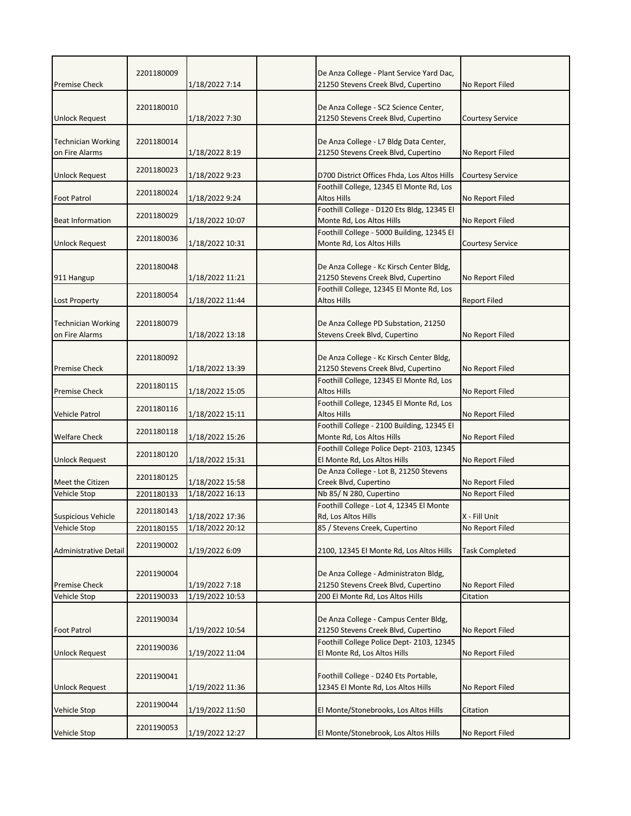| 2201180009 |                                                                                                                                                                                                  | De Anza College - Plant Service Yard Dac,                                                                                                                                                                 |                                                                                                                                                                                                                                                                                                                                                                                                                                                                                                                                                                                                                                                                                                                                                                                                                                                               |
|------------|--------------------------------------------------------------------------------------------------------------------------------------------------------------------------------------------------|-----------------------------------------------------------------------------------------------------------------------------------------------------------------------------------------------------------|---------------------------------------------------------------------------------------------------------------------------------------------------------------------------------------------------------------------------------------------------------------------------------------------------------------------------------------------------------------------------------------------------------------------------------------------------------------------------------------------------------------------------------------------------------------------------------------------------------------------------------------------------------------------------------------------------------------------------------------------------------------------------------------------------------------------------------------------------------------|
|            | 1/18/2022 7:14                                                                                                                                                                                   | 21250 Stevens Creek Blvd, Cupertino                                                                                                                                                                       | No Report Filed                                                                                                                                                                                                                                                                                                                                                                                                                                                                                                                                                                                                                                                                                                                                                                                                                                               |
|            |                                                                                                                                                                                                  |                                                                                                                                                                                                           |                                                                                                                                                                                                                                                                                                                                                                                                                                                                                                                                                                                                                                                                                                                                                                                                                                                               |
|            |                                                                                                                                                                                                  |                                                                                                                                                                                                           |                                                                                                                                                                                                                                                                                                                                                                                                                                                                                                                                                                                                                                                                                                                                                                                                                                                               |
|            |                                                                                                                                                                                                  |                                                                                                                                                                                                           | <b>Courtesy Service</b>                                                                                                                                                                                                                                                                                                                                                                                                                                                                                                                                                                                                                                                                                                                                                                                                                                       |
|            |                                                                                                                                                                                                  |                                                                                                                                                                                                           |                                                                                                                                                                                                                                                                                                                                                                                                                                                                                                                                                                                                                                                                                                                                                                                                                                                               |
|            |                                                                                                                                                                                                  |                                                                                                                                                                                                           | No Report Filed                                                                                                                                                                                                                                                                                                                                                                                                                                                                                                                                                                                                                                                                                                                                                                                                                                               |
|            |                                                                                                                                                                                                  |                                                                                                                                                                                                           |                                                                                                                                                                                                                                                                                                                                                                                                                                                                                                                                                                                                                                                                                                                                                                                                                                                               |
|            | 1/18/2022 9:23                                                                                                                                                                                   | D700 District Offices Fhda, Los Altos Hills                                                                                                                                                               | <b>Courtesy Service</b>                                                                                                                                                                                                                                                                                                                                                                                                                                                                                                                                                                                                                                                                                                                                                                                                                                       |
|            |                                                                                                                                                                                                  | Foothill College, 12345 El Monte Rd, Los                                                                                                                                                                  |                                                                                                                                                                                                                                                                                                                                                                                                                                                                                                                                                                                                                                                                                                                                                                                                                                                               |
|            | 1/18/2022 9:24                                                                                                                                                                                   | <b>Altos Hills</b>                                                                                                                                                                                        | No Report Filed                                                                                                                                                                                                                                                                                                                                                                                                                                                                                                                                                                                                                                                                                                                                                                                                                                               |
| 2201180029 |                                                                                                                                                                                                  |                                                                                                                                                                                                           |                                                                                                                                                                                                                                                                                                                                                                                                                                                                                                                                                                                                                                                                                                                                                                                                                                                               |
|            |                                                                                                                                                                                                  |                                                                                                                                                                                                           | No Report Filed                                                                                                                                                                                                                                                                                                                                                                                                                                                                                                                                                                                                                                                                                                                                                                                                                                               |
| 2201180036 |                                                                                                                                                                                                  |                                                                                                                                                                                                           |                                                                                                                                                                                                                                                                                                                                                                                                                                                                                                                                                                                                                                                                                                                                                                                                                                                               |
|            |                                                                                                                                                                                                  |                                                                                                                                                                                                           | <b>Courtesy Service</b>                                                                                                                                                                                                                                                                                                                                                                                                                                                                                                                                                                                                                                                                                                                                                                                                                                       |
|            |                                                                                                                                                                                                  |                                                                                                                                                                                                           |                                                                                                                                                                                                                                                                                                                                                                                                                                                                                                                                                                                                                                                                                                                                                                                                                                                               |
|            | 1/18/2022 11:21                                                                                                                                                                                  |                                                                                                                                                                                                           | No Report Filed                                                                                                                                                                                                                                                                                                                                                                                                                                                                                                                                                                                                                                                                                                                                                                                                                                               |
|            |                                                                                                                                                                                                  | Foothill College, 12345 El Monte Rd, Los                                                                                                                                                                  |                                                                                                                                                                                                                                                                                                                                                                                                                                                                                                                                                                                                                                                                                                                                                                                                                                                               |
|            | 1/18/2022 11:44                                                                                                                                                                                  | Altos Hills                                                                                                                                                                                               | <b>Report Filed</b>                                                                                                                                                                                                                                                                                                                                                                                                                                                                                                                                                                                                                                                                                                                                                                                                                                           |
|            |                                                                                                                                                                                                  |                                                                                                                                                                                                           |                                                                                                                                                                                                                                                                                                                                                                                                                                                                                                                                                                                                                                                                                                                                                                                                                                                               |
| 2201180079 |                                                                                                                                                                                                  | De Anza College PD Substation, 21250                                                                                                                                                                      |                                                                                                                                                                                                                                                                                                                                                                                                                                                                                                                                                                                                                                                                                                                                                                                                                                                               |
|            | 1/18/2022 13:18                                                                                                                                                                                  | Stevens Creek Blvd, Cupertino                                                                                                                                                                             | No Report Filed                                                                                                                                                                                                                                                                                                                                                                                                                                                                                                                                                                                                                                                                                                                                                                                                                                               |
|            |                                                                                                                                                                                                  |                                                                                                                                                                                                           |                                                                                                                                                                                                                                                                                                                                                                                                                                                                                                                                                                                                                                                                                                                                                                                                                                                               |
|            |                                                                                                                                                                                                  |                                                                                                                                                                                                           |                                                                                                                                                                                                                                                                                                                                                                                                                                                                                                                                                                                                                                                                                                                                                                                                                                                               |
|            |                                                                                                                                                                                                  |                                                                                                                                                                                                           | No Report Filed                                                                                                                                                                                                                                                                                                                                                                                                                                                                                                                                                                                                                                                                                                                                                                                                                                               |
| 2201180115 |                                                                                                                                                                                                  |                                                                                                                                                                                                           |                                                                                                                                                                                                                                                                                                                                                                                                                                                                                                                                                                                                                                                                                                                                                                                                                                                               |
|            |                                                                                                                                                                                                  |                                                                                                                                                                                                           | No Report Filed                                                                                                                                                                                                                                                                                                                                                                                                                                                                                                                                                                                                                                                                                                                                                                                                                                               |
| 2201180116 |                                                                                                                                                                                                  |                                                                                                                                                                                                           | No Report Filed                                                                                                                                                                                                                                                                                                                                                                                                                                                                                                                                                                                                                                                                                                                                                                                                                                               |
|            |                                                                                                                                                                                                  |                                                                                                                                                                                                           |                                                                                                                                                                                                                                                                                                                                                                                                                                                                                                                                                                                                                                                                                                                                                                                                                                                               |
|            | 1/18/2022 15:26                                                                                                                                                                                  | Monte Rd, Los Altos Hills                                                                                                                                                                                 | No Report Filed                                                                                                                                                                                                                                                                                                                                                                                                                                                                                                                                                                                                                                                                                                                                                                                                                                               |
|            |                                                                                                                                                                                                  | Foothill College Police Dept- 2103, 12345                                                                                                                                                                 |                                                                                                                                                                                                                                                                                                                                                                                                                                                                                                                                                                                                                                                                                                                                                                                                                                                               |
|            | 1/18/2022 15:31                                                                                                                                                                                  | El Monte Rd, Los Altos Hills                                                                                                                                                                              | No Report Filed                                                                                                                                                                                                                                                                                                                                                                                                                                                                                                                                                                                                                                                                                                                                                                                                                                               |
|            |                                                                                                                                                                                                  | De Anza College - Lot B, 21250 Stevens                                                                                                                                                                    |                                                                                                                                                                                                                                                                                                                                                                                                                                                                                                                                                                                                                                                                                                                                                                                                                                                               |
|            | 1/18/2022 15:58                                                                                                                                                                                  | Creek Blvd, Cupertino                                                                                                                                                                                     | No Report Filed                                                                                                                                                                                                                                                                                                                                                                                                                                                                                                                                                                                                                                                                                                                                                                                                                                               |
| 2201180133 | 1/18/2022 16:13                                                                                                                                                                                  | Nb 85/N 280, Cupertino                                                                                                                                                                                    | No Report Filed                                                                                                                                                                                                                                                                                                                                                                                                                                                                                                                                                                                                                                                                                                                                                                                                                                               |
|            |                                                                                                                                                                                                  |                                                                                                                                                                                                           |                                                                                                                                                                                                                                                                                                                                                                                                                                                                                                                                                                                                                                                                                                                                                                                                                                                               |
|            |                                                                                                                                                                                                  |                                                                                                                                                                                                           | X - Fill Unit                                                                                                                                                                                                                                                                                                                                                                                                                                                                                                                                                                                                                                                                                                                                                                                                                                                 |
|            |                                                                                                                                                                                                  |                                                                                                                                                                                                           | No Report Filed                                                                                                                                                                                                                                                                                                                                                                                                                                                                                                                                                                                                                                                                                                                                                                                                                                               |
| 2201190002 |                                                                                                                                                                                                  |                                                                                                                                                                                                           | <b>Task Completed</b>                                                                                                                                                                                                                                                                                                                                                                                                                                                                                                                                                                                                                                                                                                                                                                                                                                         |
|            |                                                                                                                                                                                                  |                                                                                                                                                                                                           |                                                                                                                                                                                                                                                                                                                                                                                                                                                                                                                                                                                                                                                                                                                                                                                                                                                               |
|            |                                                                                                                                                                                                  |                                                                                                                                                                                                           |                                                                                                                                                                                                                                                                                                                                                                                                                                                                                                                                                                                                                                                                                                                                                                                                                                                               |
|            |                                                                                                                                                                                                  | 21250 Stevens Creek Blvd, Cupertino                                                                                                                                                                       | No Report Filed                                                                                                                                                                                                                                                                                                                                                                                                                                                                                                                                                                                                                                                                                                                                                                                                                                               |
| 2201190033 | 1/19/2022 10:53                                                                                                                                                                                  | 200 El Monte Rd, Los Altos Hills                                                                                                                                                                          | Citation                                                                                                                                                                                                                                                                                                                                                                                                                                                                                                                                                                                                                                                                                                                                                                                                                                                      |
|            |                                                                                                                                                                                                  |                                                                                                                                                                                                           |                                                                                                                                                                                                                                                                                                                                                                                                                                                                                                                                                                                                                                                                                                                                                                                                                                                               |
| 2201190034 |                                                                                                                                                                                                  | De Anza College - Campus Center Bldg,                                                                                                                                                                     |                                                                                                                                                                                                                                                                                                                                                                                                                                                                                                                                                                                                                                                                                                                                                                                                                                                               |
|            | 1/19/2022 10:54                                                                                                                                                                                  | 21250 Stevens Creek Blvd, Cupertino                                                                                                                                                                       | No Report Filed                                                                                                                                                                                                                                                                                                                                                                                                                                                                                                                                                                                                                                                                                                                                                                                                                                               |
|            |                                                                                                                                                                                                  | Foothill College Police Dept-2103, 12345                                                                                                                                                                  |                                                                                                                                                                                                                                                                                                                                                                                                                                                                                                                                                                                                                                                                                                                                                                                                                                                               |
|            | 1/19/2022 11:04                                                                                                                                                                                  | El Monte Rd, Los Altos Hills                                                                                                                                                                              | No Report Filed                                                                                                                                                                                                                                                                                                                                                                                                                                                                                                                                                                                                                                                                                                                                                                                                                                               |
|            |                                                                                                                                                                                                  |                                                                                                                                                                                                           |                                                                                                                                                                                                                                                                                                                                                                                                                                                                                                                                                                                                                                                                                                                                                                                                                                                               |
|            |                                                                                                                                                                                                  | Foothill College - D240 Ets Portable,                                                                                                                                                                     |                                                                                                                                                                                                                                                                                                                                                                                                                                                                                                                                                                                                                                                                                                                                                                                                                                                               |
| 2201190041 |                                                                                                                                                                                                  |                                                                                                                                                                                                           |                                                                                                                                                                                                                                                                                                                                                                                                                                                                                                                                                                                                                                                                                                                                                                                                                                                               |
|            | 1/19/2022 11:36                                                                                                                                                                                  | 12345 El Monte Rd, Los Altos Hills                                                                                                                                                                        | No Report Filed                                                                                                                                                                                                                                                                                                                                                                                                                                                                                                                                                                                                                                                                                                                                                                                                                                               |
| 2201190044 |                                                                                                                                                                                                  |                                                                                                                                                                                                           |                                                                                                                                                                                                                                                                                                                                                                                                                                                                                                                                                                                                                                                                                                                                                                                                                                                               |
|            | 1/19/2022 11:50                                                                                                                                                                                  | El Monte/Stonebrooks, Los Altos Hills                                                                                                                                                                     | Citation                                                                                                                                                                                                                                                                                                                                                                                                                                                                                                                                                                                                                                                                                                                                                                                                                                                      |
|            | 2201180010<br>2201180014<br>2201180023<br>2201180024<br>2201180048<br>2201180054<br>2201180092<br>2201180118<br>2201180120<br>2201180125<br>2201180143<br>2201180155<br>2201190004<br>2201190036 | 1/18/2022 7:30<br>1/18/2022 8:19<br>1/18/2022 10:07<br>1/18/2022 10:31<br>1/18/2022 13:39<br>1/18/2022 15:05<br>1/18/2022 15:11<br>1/18/2022 17:36<br>1/18/2022 20:12<br>1/19/2022 6:09<br>1/19/2022 7:18 | De Anza College - SC2 Science Center,<br>21250 Stevens Creek Blvd, Cupertino<br>De Anza College - L7 Bldg Data Center,<br>21250 Stevens Creek Blvd, Cupertino<br>Foothill College - D120 Ets Bldg, 12345 El<br>Monte Rd, Los Altos Hills<br>Foothill College - 5000 Building, 12345 El<br>Monte Rd, Los Altos Hills<br>De Anza College - Kc Kirsch Center Bldg,<br>21250 Stevens Creek Blvd, Cupertino<br>De Anza College - Kc Kirsch Center Bldg,<br>21250 Stevens Creek Blvd, Cupertino<br>Foothill College, 12345 El Monte Rd, Los<br>Altos Hills<br>Foothill College, 12345 El Monte Rd, Los<br><b>Altos Hills</b><br>Foothill College - 2100 Building, 12345 El<br>Foothill College - Lot 4, 12345 El Monte<br>Rd, Los Altos Hills<br>85 / Stevens Creek, Cupertino<br>2100, 12345 El Monte Rd, Los Altos Hills<br>De Anza College - Administraton Bldg, |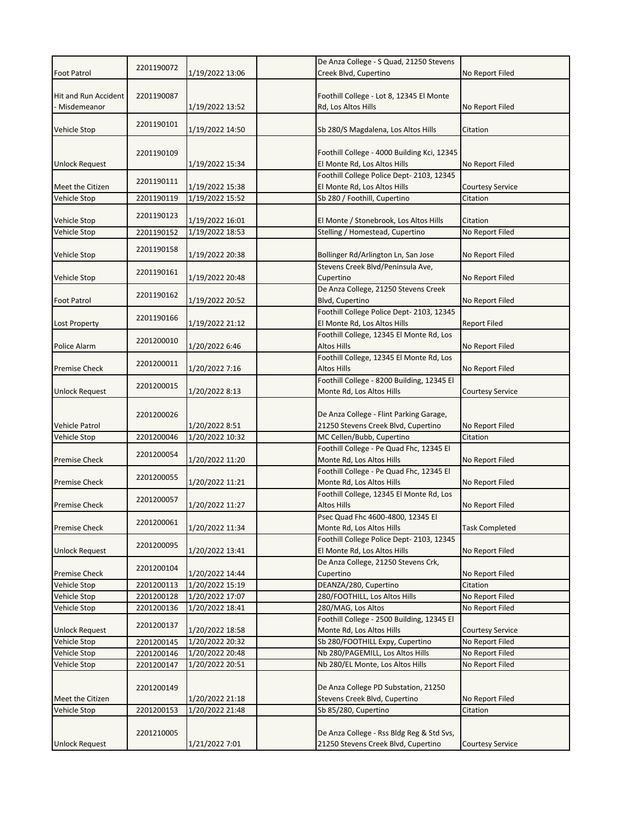|                                       |            |                 | De Anza College - S Quad, 21250 Stevens                                          |                         |
|---------------------------------------|------------|-----------------|----------------------------------------------------------------------------------|-------------------------|
| <b>Foot Patrol</b>                    | 2201190072 | 1/19/2022 13:06 | Creek Blvd, Cupertino                                                            | No Report Filed         |
| Hit and Run Accident<br>Misdemeanor   | 2201190087 | 1/19/2022 13:52 | Foothill College - Lot 8, 12345 El Monte<br>Rd, Los Altos Hills                  | No Report Filed         |
| Vehicle Stop                          | 2201190101 | 1/19/2022 14:50 | Sb 280/S Magdalena, Los Altos Hills                                              | Citation                |
| <b>Unlock Request</b>                 | 2201190109 | 1/19/2022 15:34 | Foothill College - 4000 Building Kci, 12345<br>El Monte Rd, Los Altos Hills      | No Report Filed         |
| Meet the Citizen                      | 2201190111 | 1/19/2022 15:38 | Foothill College Police Dept-2103, 12345<br>El Monte Rd, Los Altos Hills         | <b>Courtesy Service</b> |
| Vehicle Stop                          | 2201190119 | 1/19/2022 15:52 | Sb 280 / Foothill, Cupertino                                                     | Citation                |
| Vehicle Stop                          | 2201190123 | 1/19/2022 16:01 | El Monte / Stonebrook, Los Altos Hills                                           | Citation                |
| Vehicle Stop                          | 2201190152 | 1/19/2022 18:53 | Stelling / Homestead, Cupertino                                                  | No Report Filed         |
| Vehicle Stop                          | 2201190158 | 1/19/2022 20:38 | Bollinger Rd/Arlington Ln, San Jose                                              | No Report Filed         |
| Vehicle Stop                          | 2201190161 | 1/19/2022 20:48 | Stevens Creek Blvd/Peninsula Ave,<br>Cupertino                                   | No Report Filed         |
| <b>Foot Patrol</b>                    | 2201190162 | 1/19/2022 20:52 | De Anza College, 21250 Stevens Creek<br>Blvd, Cupertino                          | No Report Filed         |
| Lost Property                         | 2201190166 | 1/19/2022 21:12 | Foothill College Police Dept- 2103, 12345<br>El Monte Rd, Los Altos Hills        | <b>Report Filed</b>     |
| Police Alarm                          | 2201200010 | 1/20/2022 6:46  | Foothill College, 12345 El Monte Rd, Los<br>Altos Hills                          | No Report Filed         |
| <b>Premise Check</b>                  | 2201200011 | 1/20/2022 7:16  | Foothill College, 12345 El Monte Rd, Los<br>Altos Hills                          | No Report Filed         |
| <b>Unlock Request</b>                 | 2201200015 | 1/20/2022 8:13  | Foothill College - 8200 Building, 12345 El<br>Monte Rd, Los Altos Hills          | <b>Courtesy Service</b> |
|                                       | 2201200026 | 1/20/2022 8:51  | De Anza College - Flint Parking Garage,<br>21250 Stevens Creek Blvd, Cupertino   | No Report Filed         |
| <b>Vehicle Patrol</b><br>Vehicle Stop | 2201200046 | 1/20/2022 10:32 | MC Cellen/Bubb, Cupertino                                                        | Citation                |
|                                       |            |                 | Foothill College - Pe Quad Fhc, 12345 El                                         |                         |
| <b>Premise Check</b>                  | 2201200054 | 1/20/2022 11:20 | Monte Rd, Los Altos Hills                                                        | No Report Filed         |
| <b>Premise Check</b>                  | 2201200055 | 1/20/2022 11:21 | Foothill College - Pe Quad Fhc, 12345 El<br>Monte Rd, Los Altos Hills            | No Report Filed         |
| <b>Premise Check</b>                  | 2201200057 | 1/20/2022 11:27 | Foothill College, 12345 El Monte Rd, Los<br>Altos Hills                          | No Report Filed         |
| <b>Premise Check</b>                  | 2201200061 | 1/20/2022 11:34 | Psec Quad Fhc 4600-4800, 12345 El<br>Monte Rd, Los Altos Hills                   | <b>Task Completed</b>   |
| Unlock Request                        | 2201200095 | 1/20/2022 13:41 | Foothill College Police Dept-2103, 12345<br>El Monte Rd, Los Altos Hills         | No Report Filed         |
| <b>Premise Check</b>                  | 2201200104 | 1/20/2022 14:44 | De Anza College, 21250 Stevens Crk,<br>Cupertino                                 | No Report Filed         |
| Vehicle Stop                          | 2201200113 | 1/20/2022 15:19 | DEANZA/280, Cupertino                                                            | Citation                |
| Vehicle Stop                          | 2201200128 | 1/20/2022 17:07 | 280/FOOTHILL, Los Altos Hills                                                    | No Report Filed         |
| Vehicle Stop                          | 2201200136 | 1/20/2022 18:41 | 280/MAG, Los Altos                                                               | No Report Filed         |
| <b>Unlock Request</b>                 | 2201200137 | 1/20/2022 18:58 | Foothill College - 2500 Building, 12345 El<br>Monte Rd, Los Altos Hills          | <b>Courtesy Service</b> |
| Vehicle Stop                          | 2201200145 | 1/20/2022 20:32 | Sb 280/FOOTHILL Expy, Cupertino                                                  | No Report Filed         |
| Vehicle Stop                          | 2201200146 | 1/20/2022 20:48 | Nb 280/PAGEMILL, Los Altos Hills                                                 | No Report Filed         |
| Vehicle Stop                          | 2201200147 | 1/20/2022 20:51 | Nb 280/EL Monte, Los Altos Hills                                                 | No Report Filed         |
| Meet the Citizen                      | 2201200149 | 1/20/2022 21:18 | De Anza College PD Substation, 21250<br>Stevens Creek Blvd, Cupertino            | No Report Filed         |
| Vehicle Stop                          | 2201200153 | 1/20/2022 21:48 | Sb 85/280, Cupertino                                                             | Citation                |
| <b>Unlock Request</b>                 | 2201210005 | 1/21/2022 7:01  | De Anza College - Rss Bldg Reg & Std Svs,<br>21250 Stevens Creek Blvd, Cupertino | <b>Courtesy Service</b> |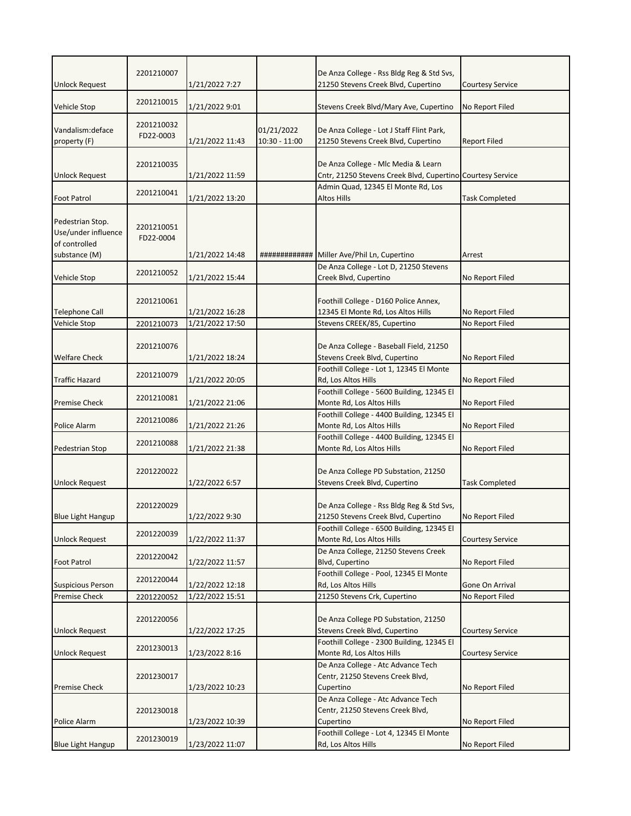|                                      | 2201210007 |                 |                               | De Anza College - Rss Bldg Reg & Std Svs,                                        |                         |
|--------------------------------------|------------|-----------------|-------------------------------|----------------------------------------------------------------------------------|-------------------------|
| <b>Unlock Request</b>                |            | 1/21/2022 7:27  |                               | 21250 Stevens Creek Blvd, Cupertino                                              | <b>Courtesy Service</b> |
|                                      | 2201210015 |                 |                               |                                                                                  |                         |
| Vehicle Stop                         |            | 1/21/2022 9:01  |                               | Stevens Creek Blvd/Mary Ave, Cupertino                                           | No Report Filed         |
|                                      | 2201210032 |                 |                               |                                                                                  |                         |
| Vandalism: deface                    | FD22-0003  | 1/21/2022 11:43 | 01/21/2022<br>$10:30 - 11:00$ | De Anza College - Lot J Staff Flint Park,<br>21250 Stevens Creek Blvd, Cupertino | <b>Report Filed</b>     |
| property (F)                         |            |                 |                               |                                                                                  |                         |
|                                      | 2201210035 |                 |                               | De Anza College - Mlc Media & Learn                                              |                         |
| <b>Unlock Request</b>                |            | 1/21/2022 11:59 |                               | Cntr, 21250 Stevens Creek Blvd, Cupertino Courtesy Service                       |                         |
|                                      |            |                 |                               | Admin Quad, 12345 El Monte Rd, Los                                               |                         |
| <b>Foot Patrol</b>                   | 2201210041 | 1/21/2022 13:20 |                               | Altos Hills                                                                      | <b>Task Completed</b>   |
|                                      |            |                 |                               |                                                                                  |                         |
| Pedestrian Stop.                     | 2201210051 |                 |                               |                                                                                  |                         |
| Use/under influence<br>of controlled | FD22-0004  |                 |                               |                                                                                  |                         |
| substance (M)                        |            | 1/21/2022 14:48 |                               | ############# Miller Ave/Phil Ln, Cupertino                                      | Arrest                  |
|                                      |            |                 |                               | De Anza College - Lot D, 21250 Stevens                                           |                         |
| Vehicle Stop                         | 2201210052 | 1/21/2022 15:44 |                               | Creek Blvd, Cupertino                                                            | No Report Filed         |
|                                      |            |                 |                               |                                                                                  |                         |
|                                      | 2201210061 |                 |                               | Foothill College - D160 Police Annex,                                            |                         |
| <b>Telephone Call</b>                |            | 1/21/2022 16:28 |                               | 12345 El Monte Rd, Los Altos Hills                                               | No Report Filed         |
| <b>Vehicle Stop</b>                  | 2201210073 | 1/21/2022 17:50 |                               | Stevens CREEK/85, Cupertino                                                      | No Report Filed         |
|                                      |            |                 |                               |                                                                                  |                         |
|                                      | 2201210076 |                 |                               | De Anza College - Baseball Field, 21250                                          |                         |
| <b>Welfare Check</b>                 |            | 1/21/2022 18:24 |                               | Stevens Creek Blvd, Cupertino<br>Foothill College - Lot 1, 12345 El Monte        | No Report Filed         |
| <b>Traffic Hazard</b>                | 2201210079 | 1/21/2022 20:05 |                               | Rd, Los Altos Hills                                                              | No Report Filed         |
|                                      |            |                 |                               | Foothill College - 5600 Building, 12345 El                                       |                         |
| <b>Premise Check</b>                 | 2201210081 | 1/21/2022 21:06 |                               | Monte Rd, Los Altos Hills                                                        | No Report Filed         |
|                                      |            |                 |                               | Foothill College - 4400 Building, 12345 El                                       |                         |
| Police Alarm                         | 2201210086 | 1/21/2022 21:26 |                               | Monte Rd, Los Altos Hills                                                        | No Report Filed         |
|                                      | 2201210088 |                 |                               | Foothill College - 4400 Building, 12345 El                                       |                         |
| Pedestrian Stop                      |            | 1/21/2022 21:38 |                               | Monte Rd, Los Altos Hills                                                        | No Report Filed         |
|                                      |            |                 |                               |                                                                                  |                         |
|                                      | 2201220022 |                 |                               | De Anza College PD Substation, 21250<br>Stevens Creek Blvd, Cupertino            |                         |
| <b>Unlock Request</b>                |            | 1/22/2022 6:57  |                               |                                                                                  | <b>Task Completed</b>   |
|                                      | 2201220029 |                 |                               | De Anza College - Rss Bldg Reg & Std Svs,                                        |                         |
| <b>Blue Light Hangup</b>             |            | 1/22/2022 9:30  |                               | 21250 Stevens Creek Blvd, Cupertino                                              | No Report Filed         |
|                                      |            |                 |                               | Foothill College - 6500 Building, 12345 El                                       |                         |
| <b>Unlock Request</b>                | 2201220039 | 1/22/2022 11:37 |                               | Monte Rd, Los Altos Hills                                                        | <b>Courtesy Service</b> |
|                                      | 2201220042 |                 |                               | De Anza College, 21250 Stevens Creek                                             |                         |
| <b>Foot Patrol</b>                   |            | 1/22/2022 11:57 |                               | Blvd, Cupertino                                                                  | No Report Filed         |
|                                      | 2201220044 |                 |                               | Foothill College - Pool, 12345 El Monte                                          |                         |
| <b>Suspicious Person</b>             |            | 1/22/2022 12:18 |                               | Rd, Los Altos Hills                                                              | Gone On Arrival         |
| <b>Premise Check</b>                 | 2201220052 | 1/22/2022 15:51 |                               | 21250 Stevens Crk, Cupertino                                                     | No Report Filed         |
|                                      | 2201220056 |                 |                               | De Anza College PD Substation, 21250                                             |                         |
| <b>Unlock Request</b>                |            | 1/22/2022 17:25 |                               | Stevens Creek Blvd, Cupertino                                                    | <b>Courtesy Service</b> |
|                                      |            |                 |                               | Foothill College - 2300 Building, 12345 El                                       |                         |
| <b>Unlock Request</b>                | 2201230013 | 1/23/2022 8:16  |                               | Monte Rd, Los Altos Hills                                                        | <b>Courtesy Service</b> |
|                                      |            |                 |                               | De Anza College - Atc Advance Tech                                               |                         |
|                                      | 2201230017 |                 |                               | Centr, 21250 Stevens Creek Blvd,                                                 |                         |
| <b>Premise Check</b>                 |            | 1/23/2022 10:23 |                               | Cupertino                                                                        | No Report Filed         |
|                                      |            |                 |                               | De Anza College - Atc Advance Tech                                               |                         |
|                                      | 2201230018 |                 |                               | Centr, 21250 Stevens Creek Blvd,                                                 |                         |
| Police Alarm                         |            | 1/23/2022 10:39 |                               | Cupertino                                                                        | No Report Filed         |
|                                      | 2201230019 |                 |                               | Foothill College - Lot 4, 12345 El Monte                                         |                         |
| <b>Blue Light Hangup</b>             |            | 1/23/2022 11:07 |                               | Rd, Los Altos Hills                                                              | No Report Filed         |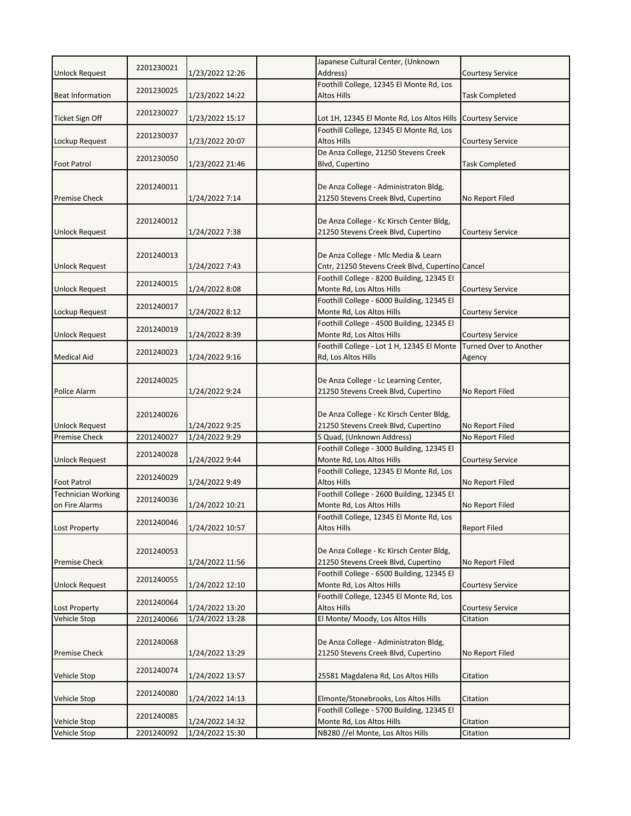| <b>Unlock Request</b>     | 2201230021 | 1/23/2022 12:26 | Japanese Cultural Center, (Unknown<br>Address)                                  | <b>Courtesy Service</b> |
|---------------------------|------------|-----------------|---------------------------------------------------------------------------------|-------------------------|
|                           |            |                 | Foothill College, 12345 El Monte Rd, Los                                        |                         |
| <b>Beat Information</b>   | 2201230025 | 1/23/2022 14:22 | <b>Altos Hills</b>                                                              | <b>Task Completed</b>   |
|                           |            |                 |                                                                                 |                         |
| <b>Ticket Sign Off</b>    | 2201230027 | 1/23/2022 15:17 | Lot 1H, 12345 El Monte Rd, Los Altos Hills                                      | <b>Courtesy Service</b> |
|                           | 2201230037 |                 | Foothill College, 12345 El Monte Rd, Los                                        |                         |
| Lockup Request            |            | 1/23/2022 20:07 | <b>Altos Hills</b>                                                              | <b>Courtesy Service</b> |
|                           | 2201230050 | 1/23/2022 21:46 | De Anza College, 21250 Stevens Creek                                            |                         |
| <b>Foot Patrol</b>        |            |                 | Blvd, Cupertino                                                                 | <b>Task Completed</b>   |
|                           | 2201240011 |                 | De Anza College - Administraton Bldg,                                           |                         |
| <b>Premise Check</b>      |            | 1/24/2022 7:14  | 21250 Stevens Creek Blvd, Cupertino                                             | No Report Filed         |
|                           |            |                 |                                                                                 |                         |
|                           | 2201240012 |                 | De Anza College - Kc Kirsch Center Bldg,                                        |                         |
| Unlock Request            |            | 1/24/2022 7:38  | 21250 Stevens Creek Blvd, Cupertino                                             | <b>Courtesy Service</b> |
|                           |            |                 |                                                                                 |                         |
|                           | 2201240013 |                 | De Anza College - Mlc Media & Learn                                             |                         |
| <b>Unlock Request</b>     |            | 1/24/2022 7:43  | Cntr, 21250 Stevens Creek Blvd, Cupertino Cancel                                |                         |
| <b>Unlock Request</b>     | 2201240015 | 1/24/2022 8:08  | Foothill College - 8200 Building, 12345 El<br>Monte Rd, Los Altos Hills         | <b>Courtesy Service</b> |
|                           |            |                 | Foothill College - 6000 Building, 12345 El                                      |                         |
| Lockup Request            | 2201240017 | 1/24/2022 8:12  | Monte Rd, Los Altos Hills                                                       | <b>Courtesy Service</b> |
|                           |            |                 | Foothill College - 4500 Building, 12345 El                                      |                         |
| <b>Unlock Request</b>     | 2201240019 | 1/24/2022 8:39  | Monte Rd, Los Altos Hills                                                       | <b>Courtesy Service</b> |
|                           | 2201240023 |                 | Foothill College - Lot 1 H, 12345 El Monte                                      | Turned Over to Another  |
| <b>Medical Aid</b>        |            | 1/24/2022 9:16  | Rd, Los Altos Hills                                                             | Agency                  |
|                           |            |                 |                                                                                 |                         |
|                           | 2201240025 |                 | De Anza College - Lc Learning Center,                                           |                         |
| Police Alarm              |            | 1/24/2022 9:24  | 21250 Stevens Creek Blvd, Cupertino                                             | No Report Filed         |
|                           |            |                 |                                                                                 |                         |
| <b>Unlock Request</b>     | 2201240026 | 1/24/2022 9:25  | De Anza College - Kc Kirsch Center Bldg,<br>21250 Stevens Creek Blvd, Cupertino | No Report Filed         |
| <b>Premise Check</b>      | 2201240027 | 1/24/2022 9:29  | S Quad, (Unknown Address)                                                       | No Report Filed         |
|                           |            |                 | Foothill College - 3000 Building, 12345 El                                      |                         |
| <b>Unlock Request</b>     | 2201240028 | 1/24/2022 9:44  | Monte Rd, Los Altos Hills                                                       | <b>Courtesy Service</b> |
|                           |            |                 | Foothill College, 12345 El Monte Rd, Los                                        |                         |
| <b>Foot Patrol</b>        | 2201240029 | 1/24/2022 9:49  | <b>Altos Hills</b>                                                              | No Report Filed         |
| <b>Technician Working</b> | 2201240036 |                 | Foothill College - 2600 Building, 12345 El                                      |                         |
| on Fire Alarms            |            | 1/24/2022 10:21 | Monte Rd, Los Altos Hills                                                       | No Report Filed         |
|                           | 2201240046 |                 | Foothill College, 12345 El Monte Rd, Los                                        |                         |
| <b>Lost Property</b>      |            | 1/24/2022 10:57 | <b>Altos Hills</b>                                                              | <b>Report Filed</b>     |
|                           | 2201240053 |                 | De Anza College - Kc Kirsch Center Bldg,                                        |                         |
| <b>Premise Check</b>      |            | 1/24/2022 11:56 | 21250 Stevens Creek Blvd, Cupertino                                             | No Report Filed         |
|                           |            |                 | Foothill College - 6500 Building, 12345 El                                      |                         |
| <b>Unlock Request</b>     | 2201240055 | 1/24/2022 12:10 | Monte Rd, Los Altos Hills                                                       | <b>Courtesy Service</b> |
|                           |            |                 | Foothill College, 12345 El Monte Rd, Los                                        |                         |
| <b>Lost Property</b>      | 2201240064 | 1/24/2022 13:20 | <b>Altos Hills</b>                                                              | <b>Courtesy Service</b> |
| Vehicle Stop              | 2201240066 | 1/24/2022 13:28 | El Monte/ Moody, Los Altos Hills                                                | Citation                |
|                           |            |                 |                                                                                 |                         |
|                           | 2201240068 |                 | De Anza College - Administraton Bldg,                                           |                         |
| Premise Check             |            | 1/24/2022 13:29 | 21250 Stevens Creek Blvd, Cupertino                                             | No Report Filed         |
| Vehicle Stop              | 2201240074 | 1/24/2022 13:57 | 25581 Magdalena Rd, Los Altos Hills                                             | Citation                |
|                           |            |                 |                                                                                 |                         |
| Vehicle Stop              | 2201240080 | 1/24/2022 14:13 | Elmonte/Stonebrooks, Los Altos Hills                                            | Citation                |
|                           |            |                 | Foothill College - 5700 Building, 12345 El                                      |                         |
| Vehicle Stop              | 2201240085 | 1/24/2022 14:32 | Monte Rd, Los Altos Hills                                                       | Citation                |
| Vehicle Stop              | 2201240092 | 1/24/2022 15:30 | NB280 //el Monte, Los Altos Hills                                               | Citation                |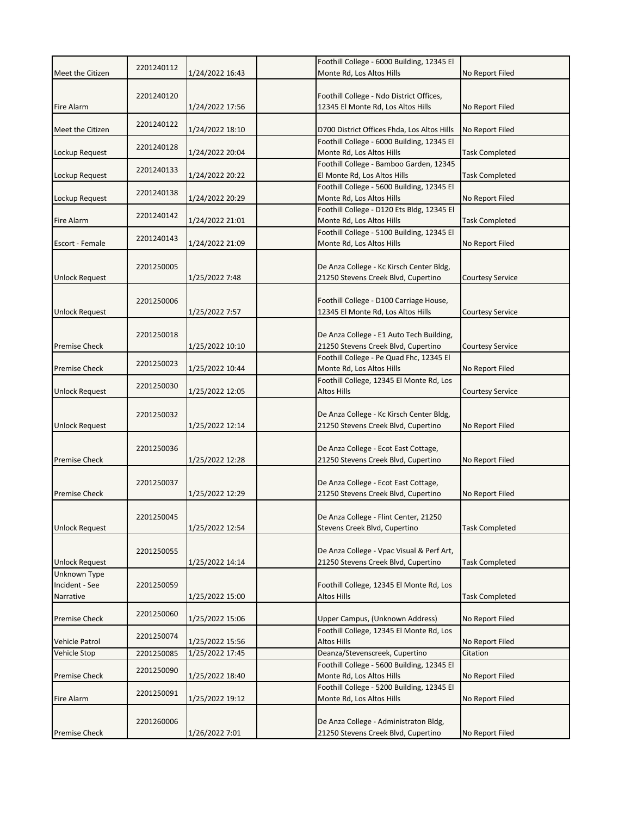|                       |            |                 | Foothill College - 6000 Building, 12345 El                                                |                         |
|-----------------------|------------|-----------------|-------------------------------------------------------------------------------------------|-------------------------|
| Meet the Citizen      | 2201240112 | 1/24/2022 16:43 | Monte Rd, Los Altos Hills                                                                 | No Report Filed         |
|                       | 2201240120 |                 | Foothill College - Ndo District Offices,                                                  |                         |
| <b>Fire Alarm</b>     |            | 1/24/2022 17:56 | 12345 El Monte Rd, Los Altos Hills                                                        | No Report Filed         |
|                       | 2201240122 |                 |                                                                                           |                         |
| Meet the Citizen      |            | 1/24/2022 18:10 | D700 District Offices Fhda, Los Altos Hills<br>Foothill College - 6000 Building, 12345 El | No Report Filed         |
| Lockup Request        | 2201240128 | 1/24/2022 20:04 | Monte Rd, Los Altos Hills                                                                 | <b>Task Completed</b>   |
|                       | 2201240133 |                 | Foothill College - Bamboo Garden, 12345                                                   |                         |
| Lockup Request        |            | 1/24/2022 20:22 | El Monte Rd, Los Altos Hills<br>Foothill College - 5600 Building, 12345 El                | <b>Task Completed</b>   |
| Lockup Request        | 2201240138 | 1/24/2022 20:29 | Monte Rd, Los Altos Hills                                                                 | No Report Filed         |
|                       | 2201240142 |                 | Foothill College - D120 Ets Bldg, 12345 El                                                |                         |
| Fire Alarm            |            | 1/24/2022 21:01 | Monte Rd, Los Altos Hills                                                                 | <b>Task Completed</b>   |
| Escort - Female       | 2201240143 | 1/24/2022 21:09 | Foothill College - 5100 Building, 12345 El<br>Monte Rd, Los Altos Hills                   | No Report Filed         |
|                       |            |                 |                                                                                           |                         |
|                       | 2201250005 |                 | De Anza College - Kc Kirsch Center Bldg,                                                  |                         |
| <b>Unlock Request</b> |            | 1/25/2022 7:48  | 21250 Stevens Creek Blvd, Cupertino                                                       | <b>Courtesy Service</b> |
|                       | 2201250006 |                 | Foothill College - D100 Carriage House,                                                   |                         |
| <b>Unlock Request</b> |            | 1/25/2022 7:57  | 12345 El Monte Rd, Los Altos Hills                                                        | <b>Courtesy Service</b> |
|                       |            |                 |                                                                                           |                         |
| <b>Premise Check</b>  | 2201250018 | 1/25/2022 10:10 | De Anza College - E1 Auto Tech Building,<br>21250 Stevens Creek Blvd, Cupertino           | <b>Courtesy Service</b> |
|                       |            |                 | Foothill College - Pe Quad Fhc, 12345 El                                                  |                         |
| <b>Premise Check</b>  | 2201250023 | 1/25/2022 10:44 | Monte Rd, Los Altos Hills                                                                 | No Report Filed         |
|                       | 2201250030 |                 | Foothill College, 12345 El Monte Rd, Los                                                  |                         |
| <b>Unlock Request</b> |            | 1/25/2022 12:05 | Altos Hills                                                                               | <b>Courtesy Service</b> |
|                       | 2201250032 |                 | De Anza College - Kc Kirsch Center Bldg,                                                  |                         |
| <b>Unlock Request</b> |            | 1/25/2022 12:14 | 21250 Stevens Creek Blvd, Cupertino                                                       | No Report Filed         |
|                       |            |                 |                                                                                           |                         |
| <b>Premise Check</b>  | 2201250036 | 1/25/2022 12:28 | De Anza College - Ecot East Cottage,<br>21250 Stevens Creek Blvd, Cupertino               | No Report Filed         |
|                       |            |                 |                                                                                           |                         |
|                       | 2201250037 |                 | De Anza College - Ecot East Cottage,                                                      |                         |
| <b>Premise Check</b>  |            | 1/25/2022 12:29 | 21250 Stevens Creek Blvd, Cupertino                                                       | No Report Filed         |
|                       | 2201250045 |                 | De Anza College - Flint Center, 21250                                                     |                         |
| <b>Unlock Request</b> |            | 1/25/2022 12:54 | Stevens Creek Blvd, Cupertino                                                             | <b>Task Completed</b>   |
|                       |            |                 |                                                                                           |                         |
| <b>Unlock Request</b> | 2201250055 | 1/25/2022 14:14 | De Anza College - Vpac Visual & Perf Art,<br>21250 Stevens Creek Blvd, Cupertino          | <b>Task Completed</b>   |
| Unknown Type          |            |                 |                                                                                           |                         |
| Incident - See        | 2201250059 |                 | Foothill College, 12345 El Monte Rd, Los                                                  |                         |
| Narrative             |            | 1/25/2022 15:00 | <b>Altos Hills</b>                                                                        | <b>Task Completed</b>   |
| <b>Premise Check</b>  | 2201250060 | 1/25/2022 15:06 | Upper Campus, (Unknown Address)                                                           | No Report Filed         |
|                       |            |                 | Foothill College, 12345 El Monte Rd, Los                                                  |                         |
| <b>Vehicle Patrol</b> | 2201250074 | 1/25/2022 15:56 | <b>Altos Hills</b>                                                                        | No Report Filed         |
| Vehicle Stop          | 2201250085 | 1/25/2022 17:45 | Deanza/Stevenscreek, Cupertino                                                            | Citation                |
| <b>Premise Check</b>  | 2201250090 | 1/25/2022 18:40 | Foothill College - 5600 Building, 12345 El<br>Monte Rd, Los Altos Hills                   | No Report Filed         |
|                       |            |                 | Foothill College - 5200 Building, 12345 El                                                |                         |
| <b>Fire Alarm</b>     | 2201250091 | 1/25/2022 19:12 | Monte Rd, Los Altos Hills                                                                 | No Report Filed         |
|                       |            |                 |                                                                                           |                         |
| <b>Premise Check</b>  | 2201260006 | 1/26/2022 7:01  | De Anza College - Administraton Bldg,<br>21250 Stevens Creek Blvd, Cupertino              | No Report Filed         |
|                       |            |                 |                                                                                           |                         |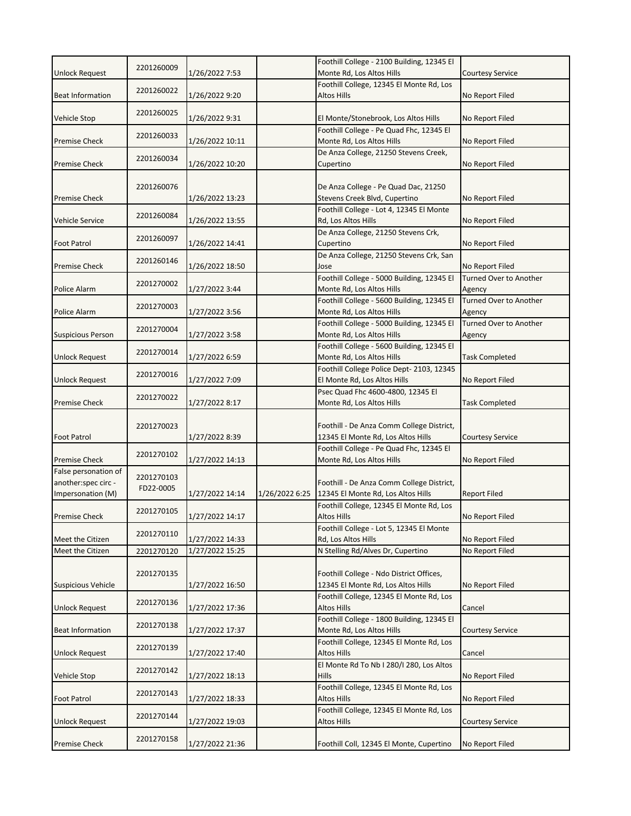| <b>Unlock Request</b>     | 2201260009 | 1/26/2022 7:53  |                | Foothill College - 2100 Building, 12345 El<br>Monte Rd, Los Altos Hills        | <b>Courtesy Service</b>          |
|---------------------------|------------|-----------------|----------------|--------------------------------------------------------------------------------|----------------------------------|
|                           |            |                 |                | Foothill College, 12345 El Monte Rd, Los                                       |                                  |
| <b>Beat Information</b>   | 2201260022 | 1/26/2022 9:20  |                | Altos Hills                                                                    | No Report Filed                  |
|                           |            |                 |                |                                                                                |                                  |
| Vehicle Stop              | 2201260025 | 1/26/2022 9:31  |                | El Monte/Stonebrook, Los Altos Hills                                           | No Report Filed                  |
|                           | 2201260033 |                 |                | Foothill College - Pe Quad Fhc, 12345 El                                       |                                  |
| <b>Premise Check</b>      |            | 1/26/2022 10:11 |                | Monte Rd, Los Altos Hills                                                      | No Report Filed                  |
|                           | 2201260034 |                 |                | De Anza College, 21250 Stevens Creek,                                          |                                  |
| <b>Premise Check</b>      |            | 1/26/2022 10:20 |                | Cupertino                                                                      | No Report Filed                  |
|                           | 2201260076 |                 |                | De Anza College - Pe Quad Dac, 21250                                           |                                  |
| <b>Premise Check</b>      |            | 1/26/2022 13:23 |                | Stevens Creek Blvd, Cupertino                                                  | No Report Filed                  |
|                           |            |                 |                | Foothill College - Lot 4, 12345 El Monte                                       |                                  |
| Vehicle Service           | 2201260084 | 1/26/2022 13:55 |                | Rd, Los Altos Hills                                                            | No Report Filed                  |
|                           |            |                 |                | De Anza College, 21250 Stevens Crk,                                            |                                  |
| <b>Foot Patrol</b>        | 2201260097 | 1/26/2022 14:41 |                | Cupertino                                                                      | No Report Filed                  |
|                           | 2201260146 |                 |                | De Anza College, 21250 Stevens Crk, San                                        |                                  |
| <b>Premise Check</b>      |            | 1/26/2022 18:50 |                | Jose                                                                           | No Report Filed                  |
|                           | 2201270002 |                 |                | Foothill College - 5000 Building, 12345 El                                     | Turned Over to Another           |
| Police Alarm              |            | 1/27/2022 3:44  |                | Monte Rd, Los Altos Hills                                                      | Agency                           |
|                           | 2201270003 |                 |                | Foothill College - 5600 Building, 12345 El                                     | Turned Over to Another           |
| Police Alarm              |            | 1/27/2022 3:56  |                | Monte Rd, Los Altos Hills<br>Foothill College - 5000 Building, 12345 El        | Agency<br>Turned Over to Another |
| <b>Suspicious Person</b>  | 2201270004 | 1/27/2022 3:58  |                | Monte Rd, Los Altos Hills                                                      | Agency                           |
|                           |            |                 |                | Foothill College - 5600 Building, 12345 El                                     |                                  |
| <b>Unlock Request</b>     | 2201270014 | 1/27/2022 6:59  |                | Monte Rd, Los Altos Hills                                                      | <b>Task Completed</b>            |
|                           |            |                 |                | Foothill College Police Dept- 2103, 12345                                      |                                  |
| <b>Unlock Request</b>     | 2201270016 | 1/27/2022 7:09  |                | El Monte Rd, Los Altos Hills                                                   | No Report Filed                  |
|                           | 2201270022 |                 |                | Psec Quad Fhc 4600-4800, 12345 El                                              |                                  |
| <b>Premise Check</b>      |            | 1/27/2022 8:17  |                | Monte Rd, Los Altos Hills                                                      | <b>Task Completed</b>            |
|                           |            |                 |                |                                                                                |                                  |
|                           | 2201270023 |                 |                | Foothill - De Anza Comm College District,                                      |                                  |
| <b>Foot Patrol</b>        |            | 1/27/2022 8:39  |                | 12345 El Monte Rd, Los Altos Hills<br>Foothill College - Pe Quad Fhc, 12345 El | <b>Courtesy Service</b>          |
| <b>Premise Check</b>      | 2201270102 | 1/27/2022 14:13 |                | Monte Rd, Los Altos Hills                                                      | No Report Filed                  |
| False personation of      |            |                 |                |                                                                                |                                  |
| another:spec circ -       | 2201270103 |                 |                | Foothill - De Anza Comm College District,                                      |                                  |
| Impersonation (M)         | FD22-0005  | 1/27/2022 14:14 | 1/26/2022 6:25 | 12345 El Monte Rd, Los Altos Hills                                             | <b>Report Filed</b>              |
|                           |            |                 |                | Foothill College, 12345 El Monte Rd, Los                                       |                                  |
| <b>Premise Check</b>      | 2201270105 | 1/27/2022 14:17 |                | Altos Hills                                                                    | No Report Filed                  |
|                           | 2201270110 |                 |                | Foothill College - Lot 5, 12345 El Monte                                       |                                  |
| Meet the Citizen          |            | 1/27/2022 14:33 |                | Rd, Los Altos Hills                                                            | No Report Filed                  |
| Meet the Citizen          | 2201270120 | 1/27/2022 15:25 |                | N Stelling Rd/Alves Dr, Cupertino                                              | No Report Filed                  |
|                           |            |                 |                | Foothill College - Ndo District Offices,                                       |                                  |
| <b>Suspicious Vehicle</b> | 2201270135 | 1/27/2022 16:50 |                | 12345 El Monte Rd, Los Altos Hills                                             | No Report Filed                  |
|                           |            |                 |                | Foothill College, 12345 El Monte Rd, Los                                       |                                  |
| <b>Unlock Request</b>     | 2201270136 | 1/27/2022 17:36 |                | Altos Hills                                                                    | Cancel                           |
|                           |            |                 |                | Foothill College - 1800 Building, 12345 El                                     |                                  |
| <b>Beat Information</b>   | 2201270138 | 1/27/2022 17:37 |                | Monte Rd, Los Altos Hills                                                      | <b>Courtesy Service</b>          |
|                           |            |                 |                | Foothill College, 12345 El Monte Rd, Los                                       |                                  |
| <b>Unlock Request</b>     | 2201270139 | 1/27/2022 17:40 |                | Altos Hills                                                                    | Cancel                           |
|                           | 2201270142 |                 |                | El Monte Rd To Nb I 280/I 280, Los Altos                                       |                                  |
| Vehicle Stop              |            | 1/27/2022 18:13 |                | Hills                                                                          | No Report Filed                  |
|                           | 2201270143 |                 |                | Foothill College, 12345 El Monte Rd, Los                                       |                                  |
| <b>Foot Patrol</b>        |            | 1/27/2022 18:33 |                | Altos Hills<br>Foothill College, 12345 El Monte Rd, Los                        | No Report Filed                  |
| Unlock Request            | 2201270144 | 1/27/2022 19:03 |                | Altos Hills                                                                    | <b>Courtesy Service</b>          |
|                           |            |                 |                |                                                                                |                                  |
| Premise Check             | 2201270158 | 1/27/2022 21:36 |                | Foothill Coll, 12345 El Monte, Cupertino                                       | No Report Filed                  |
|                           |            |                 |                |                                                                                |                                  |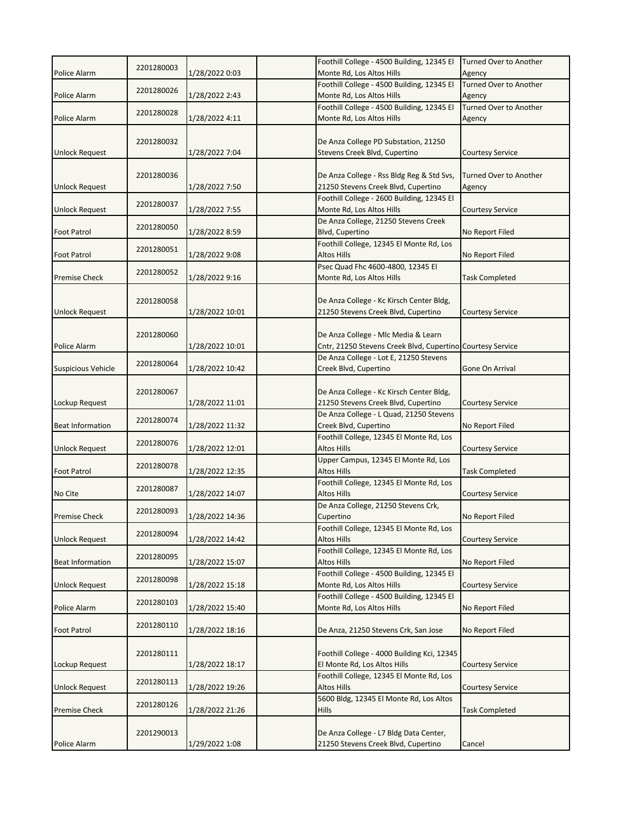|                           | 2201280003 |                 | Foothill College - 4500 Building, 12345 El<br>Monte Rd, Los Altos Hills | Turned Over to Another           |
|---------------------------|------------|-----------------|-------------------------------------------------------------------------|----------------------------------|
| Police Alarm              |            | 1/28/2022 0:03  | Foothill College - 4500 Building, 12345 El                              | Agency<br>Turned Over to Another |
| <b>Police Alarm</b>       | 2201280026 | 1/28/2022 2:43  | Monte Rd, Los Altos Hills                                               | Agency                           |
|                           |            |                 | Foothill College - 4500 Building, 12345 El                              | <b>Turned Over to Another</b>    |
| Police Alarm              | 2201280028 | 1/28/2022 4:11  | Monte Rd, Los Altos Hills                                               | Agency                           |
|                           |            |                 |                                                                         |                                  |
|                           | 2201280032 |                 | De Anza College PD Substation, 21250                                    |                                  |
| <b>Unlock Request</b>     |            | 1/28/2022 7:04  | Stevens Creek Blvd, Cupertino                                           | Courtesy Service                 |
|                           |            |                 |                                                                         |                                  |
|                           | 2201280036 |                 | De Anza College - Rss Bldg Reg & Std Svs,                               | Turned Over to Another           |
| <b>Unlock Request</b>     |            | 1/28/2022 7:50  | 21250 Stevens Creek Blvd, Cupertino                                     | Agency                           |
|                           | 2201280037 |                 | Foothill College - 2600 Building, 12345 El                              |                                  |
| <b>Unlock Request</b>     |            | 1/28/2022 7:55  | Monte Rd, Los Altos Hills                                               | Courtesy Service                 |
|                           | 2201280050 |                 | De Anza College, 21250 Stevens Creek                                    |                                  |
| <b>Foot Patrol</b>        |            | 1/28/2022 8:59  | Blvd, Cupertino                                                         | No Report Filed                  |
| <b>Foot Patrol</b>        | 2201280051 | 1/28/2022 9:08  | Foothill College, 12345 El Monte Rd, Los<br>Altos Hills                 | No Report Filed                  |
|                           |            |                 | Psec Quad Fhc 4600-4800, 12345 El                                       |                                  |
| <b>Premise Check</b>      | 2201280052 | 1/28/2022 9:16  | Monte Rd, Los Altos Hills                                               | Task Completed                   |
|                           |            |                 |                                                                         |                                  |
|                           | 2201280058 |                 | De Anza College - Kc Kirsch Center Bldg,                                |                                  |
| <b>Unlock Request</b>     |            | 1/28/2022 10:01 | 21250 Stevens Creek Blvd, Cupertino                                     | <b>Courtesy Service</b>          |
|                           |            |                 |                                                                         |                                  |
|                           | 2201280060 |                 | De Anza College - Mlc Media & Learn                                     |                                  |
| <b>Police Alarm</b>       |            | 1/28/2022 10:01 | Cntr, 21250 Stevens Creek Blvd, Cupertino Courtesy Service              |                                  |
|                           |            |                 | De Anza College - Lot E, 21250 Stevens                                  |                                  |
| <b>Suspicious Vehicle</b> | 2201280064 | 1/28/2022 10:42 | Creek Blvd, Cupertino                                                   | Gone On Arrival                  |
|                           |            |                 |                                                                         |                                  |
|                           | 2201280067 |                 | De Anza College - Kc Kirsch Center Bldg,                                |                                  |
| Lockup Request            |            | 1/28/2022 11:01 | 21250 Stevens Creek Blvd, Cupertino                                     | <b>Courtesy Service</b>          |
|                           | 2201280074 |                 | De Anza College - L Quad, 21250 Stevens                                 |                                  |
| <b>Beat Information</b>   |            | 1/28/2022 11:32 | Creek Blvd, Cupertino                                                   | No Report Filed                  |
|                           | 2201280076 |                 | Foothill College, 12345 El Monte Rd, Los                                |                                  |
| <b>Unlock Request</b>     |            | 1/28/2022 12:01 | Altos Hills                                                             | <b>Courtesy Service</b>          |
| <b>Foot Patrol</b>        | 2201280078 |                 | Upper Campus, 12345 El Monte Rd, Los<br>Altos Hills                     |                                  |
|                           |            | 1/28/2022 12:35 |                                                                         | <b>Task Completed</b>            |
| No Cite                   | 2201280087 | 1/28/2022 14:07 | Foothill College, 12345 El Monte Rd, Los<br>Altos Hills                 | Courtesy Service                 |
|                           |            |                 | De Anza College, 21250 Stevens Crk,                                     |                                  |
| <b>Premise Check</b>      | 2201280093 | 1/28/2022 14:36 | Cupertino                                                               | No Report Filed                  |
|                           |            |                 | Foothill College, 12345 El Monte Rd, Los                                |                                  |
| <b>Unlock Request</b>     | 2201280094 | 1/28/2022 14:42 | <b>Altos Hills</b>                                                      | <b>Courtesy Service</b>          |
|                           |            |                 | Foothill College, 12345 El Monte Rd, Los                                |                                  |
| <b>Beat Information</b>   | 2201280095 | 1/28/2022 15:07 | <b>Altos Hills</b>                                                      | No Report Filed                  |
|                           |            |                 | Foothill College - 4500 Building, 12345 El                              |                                  |
| <b>Unlock Request</b>     | 2201280098 | 1/28/2022 15:18 | Monte Rd, Los Altos Hills                                               | <b>Courtesy Service</b>          |
|                           | 2201280103 |                 | Foothill College - 4500 Building, 12345 El                              |                                  |
| Police Alarm              |            | 1/28/2022 15:40 | Monte Rd, Los Altos Hills                                               | No Report Filed                  |
|                           | 2201280110 |                 |                                                                         |                                  |
| <b>Foot Patrol</b>        |            | 1/28/2022 18:16 | De Anza, 21250 Stevens Crk, San Jose                                    | No Report Filed                  |
|                           |            |                 |                                                                         |                                  |
|                           | 2201280111 |                 | Foothill College - 4000 Building Kci, 12345                             |                                  |
| Lockup Request            |            | 1/28/2022 18:17 | El Monte Rd, Los Altos Hills                                            | <b>Courtesy Service</b>          |
|                           | 2201280113 | 1/28/2022 19:26 | Foothill College, 12345 El Monte Rd, Los                                |                                  |
| <b>Unlock Request</b>     |            |                 | Altos Hills<br>5600 Bldg, 12345 El Monte Rd, Los Altos                  | <b>Courtesy Service</b>          |
| <b>Premise Check</b>      | 2201280126 | 1/28/2022 21:26 | <b>Hills</b>                                                            | <b>Task Completed</b>            |
|                           |            |                 |                                                                         |                                  |
|                           | 2201290013 |                 | De Anza College - L7 Bldg Data Center,                                  |                                  |
| Police Alarm              |            | 1/29/2022 1:08  | 21250 Stevens Creek Blvd, Cupertino                                     | Cancel                           |
|                           |            |                 |                                                                         |                                  |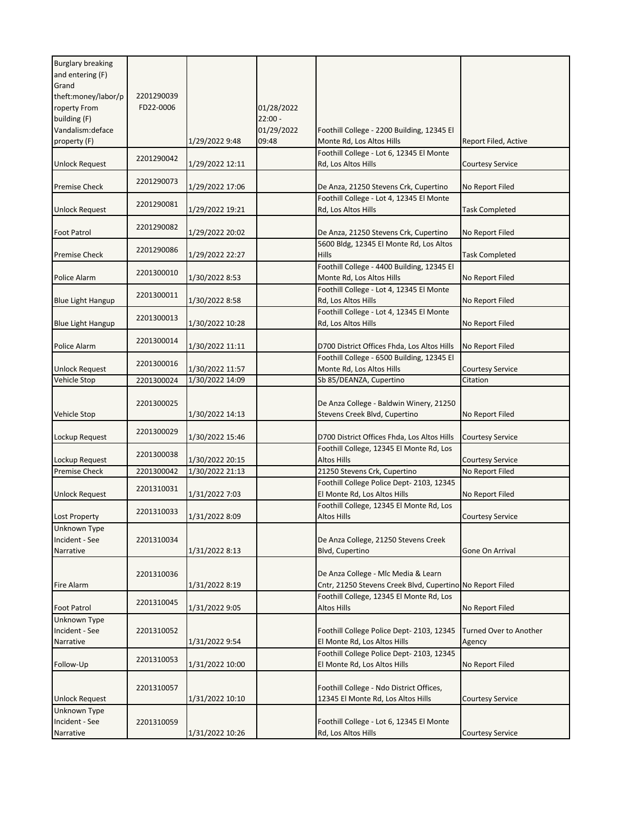| <b>Burglary breaking</b>     |            |                 |            |                                                                                                  |                         |
|------------------------------|------------|-----------------|------------|--------------------------------------------------------------------------------------------------|-------------------------|
| and entering (F)             |            |                 |            |                                                                                                  |                         |
| Grand<br>theft:money/labor/p | 2201290039 |                 |            |                                                                                                  |                         |
| roperty From                 | FD22-0006  |                 | 01/28/2022 |                                                                                                  |                         |
| building (F)                 |            |                 | $22:00 -$  |                                                                                                  |                         |
| Vandalism: deface            |            |                 | 01/29/2022 | Foothill College - 2200 Building, 12345 El                                                       |                         |
| property (F)                 |            | 1/29/2022 9:48  | 09:48      | Monte Rd, Los Altos Hills                                                                        | Report Filed, Active    |
|                              |            |                 |            | Foothill College - Lot 6, 12345 El Monte                                                         |                         |
| <b>Unlock Request</b>        | 2201290042 | 1/29/2022 12:11 |            | Rd, Los Altos Hills                                                                              | <b>Courtesy Service</b> |
|                              |            |                 |            |                                                                                                  |                         |
| <b>Premise Check</b>         | 2201290073 | 1/29/2022 17:06 |            | De Anza, 21250 Stevens Crk, Cupertino                                                            | No Report Filed         |
|                              |            |                 |            | Foothill College - Lot 4, 12345 El Monte                                                         |                         |
| <b>Unlock Request</b>        | 2201290081 | 1/29/2022 19:21 |            | Rd, Los Altos Hills                                                                              | <b>Task Completed</b>   |
|                              | 2201290082 |                 |            |                                                                                                  |                         |
| <b>Foot Patrol</b>           |            | 1/29/2022 20:02 |            | De Anza, 21250 Stevens Crk, Cupertino                                                            | No Report Filed         |
|                              | 2201290086 |                 |            | 5600 Bldg, 12345 El Monte Rd, Los Altos                                                          |                         |
| <b>Premise Check</b>         |            | 1/29/2022 22:27 |            | Hills                                                                                            | <b>Task Completed</b>   |
|                              | 2201300010 |                 |            | Foothill College - 4400 Building, 12345 El                                                       |                         |
| Police Alarm                 |            | 1/30/2022 8:53  |            | Monte Rd, Los Altos Hills                                                                        | No Report Filed         |
|                              | 2201300011 |                 |            | Foothill College - Lot 4, 12345 El Monte                                                         |                         |
| <b>Blue Light Hangup</b>     |            | 1/30/2022 8:58  |            | Rd, Los Altos Hills                                                                              | No Report Filed         |
|                              | 2201300013 |                 |            | Foothill College - Lot 4, 12345 El Monte                                                         |                         |
| <b>Blue Light Hangup</b>     |            | 1/30/2022 10:28 |            | Rd, Los Altos Hills                                                                              | No Report Filed         |
| Police Alarm                 | 2201300014 | 1/30/2022 11:11 |            | D700 District Offices Fhda, Los Altos Hills                                                      | No Report Filed         |
|                              |            |                 |            | Foothill College - 6500 Building, 12345 El                                                       |                         |
| <b>Unlock Request</b>        | 2201300016 | 1/30/2022 11:57 |            | Monte Rd, Los Altos Hills                                                                        | Courtesy Service        |
| Vehicle Stop                 | 2201300024 | 1/30/2022 14:09 |            | Sb 85/DEANZA, Cupertino                                                                          | Citation                |
|                              |            |                 |            |                                                                                                  |                         |
|                              | 2201300025 |                 |            | De Anza College - Baldwin Winery, 21250                                                          |                         |
| Vehicle Stop                 |            | 1/30/2022 14:13 |            | Stevens Creek Blvd, Cupertino                                                                    | No Report Filed         |
|                              |            |                 |            |                                                                                                  |                         |
| Lockup Request               | 2201300029 | 1/30/2022 15:46 |            | D700 District Offices Fhda, Los Altos Hills                                                      | <b>Courtesy Service</b> |
|                              |            |                 |            | Foothill College, 12345 El Monte Rd, Los                                                         |                         |
| Lockup Request               | 2201300038 | 1/30/2022 20:15 |            | <b>Altos Hills</b>                                                                               | <b>Courtesy Service</b> |
| <b>Premise Check</b>         | 2201300042 | 1/30/2022 21:13 |            | 21250 Stevens Crk, Cupertino                                                                     | No Report Filed         |
|                              | 2201310031 |                 |            | Foothill College Police Dept- 2103, 12345                                                        |                         |
| <b>Unlock Request</b>        |            | 1/31/2022 7:03  |            | El Monte Rd, Los Altos Hills                                                                     | No Report Filed         |
|                              | 2201310033 |                 |            | Foothill College, 12345 El Monte Rd, Los                                                         |                         |
| <b>Lost Property</b>         |            | 1/31/2022 8:09  |            | <b>Altos Hills</b>                                                                               | <b>Courtesy Service</b> |
| Unknown Type                 |            |                 |            |                                                                                                  |                         |
| Incident - See               | 2201310034 |                 |            | De Anza College, 21250 Stevens Creek                                                             |                         |
| Narrative                    |            | 1/31/2022 8:13  |            | Blvd, Cupertino                                                                                  | Gone On Arrival         |
|                              |            |                 |            |                                                                                                  |                         |
| Fire Alarm                   | 2201310036 | 1/31/2022 8:19  |            | De Anza College - Mlc Media & Learn<br>Cntr, 21250 Stevens Creek Blvd, Cupertino No Report Filed |                         |
|                              |            |                 |            | Foothill College, 12345 El Monte Rd, Los                                                         |                         |
| <b>Foot Patrol</b>           | 2201310045 | 1/31/2022 9:05  |            | <b>Altos Hills</b>                                                                               | No Report Filed         |
| Unknown Type                 |            |                 |            |                                                                                                  |                         |
| Incident - See               | 2201310052 |                 |            | Foothill College Police Dept- 2103, 12345                                                        | Turned Over to Another  |
| Narrative                    |            | 1/31/2022 9:54  |            | El Monte Rd, Los Altos Hills                                                                     | Agency                  |
|                              |            |                 |            | Foothill College Police Dept-2103, 12345                                                         |                         |
| Follow-Up                    | 2201310053 | 1/31/2022 10:00 |            | El Monte Rd, Los Altos Hills                                                                     | No Report Filed         |
|                              |            |                 |            |                                                                                                  |                         |
|                              | 2201310057 |                 |            | Foothill College - Ndo District Offices,                                                         |                         |
| <b>Unlock Request</b>        |            | 1/31/2022 10:10 |            | 12345 El Monte Rd, Los Altos Hills                                                               | Courtesy Service        |
| Unknown Type                 |            |                 |            |                                                                                                  |                         |
| Incident - See               | 2201310059 |                 |            | Foothill College - Lot 6, 12345 El Monte                                                         |                         |
| Narrative                    |            | 1/31/2022 10:26 |            | Rd, Los Altos Hills                                                                              | <b>Courtesy Service</b> |
|                              |            |                 |            |                                                                                                  |                         |